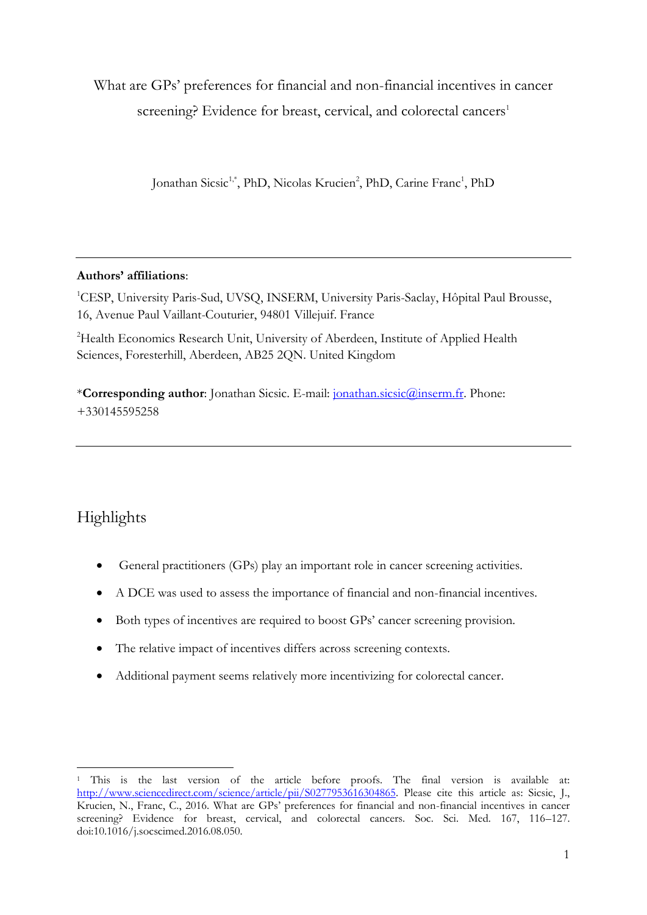What are GPs' preferences for financial and non-financial incentives in cancer screening? Evidence for breast, cervical, and colorectal cancers<sup>1</sup>

Jonathan Sicsic<sup>1,\*</sup>, PhD, Nicolas Krucien<sup>2</sup>, PhD, Carine Franc<sup>1</sup>, PhD

#### **Authors' affiliations**:

<sup>1</sup>CESP, University Paris-Sud, UVSQ, INSERM, University Paris-Saclay, Hôpital Paul Brousse, 16, Avenue Paul Vaillant-Couturier, 94801 Villejuif. France

<sup>2</sup>Health Economics Research Unit, University of Aberdeen, Institute of Applied Health Sciences, Foresterhill, Aberdeen, AB25 2QN. United Kingdom

\***Corresponding author**: Jonathan Sicsic. E-mail: [jonathan.sicsic@inserm.fr.](mailto:jonathan.sicsic@inserm.fr) Phone: +330145595258

## Highlights

- General practitioners (GPs) play an important role in cancer screening activities.
- A DCE was used to assess the importance of financial and non-financial incentives.
- Both types of incentives are required to boost GPs' cancer screening provision.
- The relative impact of incentives differs across screening contexts.
- Additional payment seems relatively more incentivizing for colorectal cancer.

<sup>&</sup>lt;u>.</u> <sup>1</sup> This is the last version of the article before proofs. The final version is available at: [http://www.sciencedirect.com/science/article/pii/S0277953616304865.](http://www.sciencedirect.com/science/article/pii/S0277953616304865) Please cite this article as: Sicsic, J., Krucien, N., Franc, C., 2016. What are GPs' preferences for financial and non-financial incentives in cancer screening? Evidence for breast, cervical, and colorectal cancers. Soc. Sci. Med. 167, 116–127. doi:10.1016/j.socscimed.2016.08.050.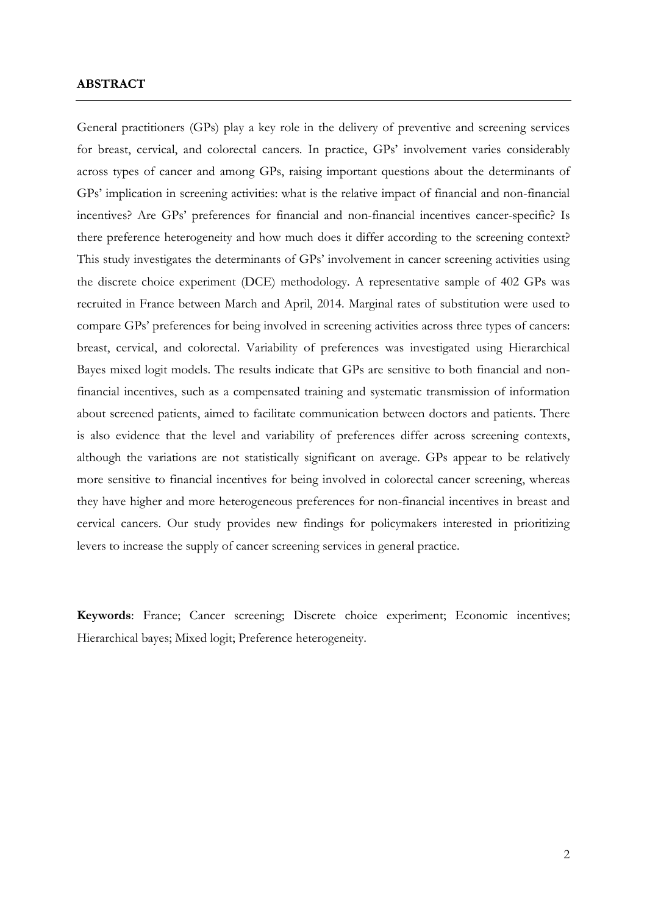#### **ABSTRACT**

General practitioners (GPs) play a key role in the delivery of preventive and screening services for breast, cervical, and colorectal cancers. In practice, GPs' involvement varies considerably across types of cancer and among GPs, raising important questions about the determinants of GPs' implication in screening activities: what is the relative impact of financial and non-financial incentives? Are GPs' preferences for financial and non-financial incentives cancer-specific? Is there preference heterogeneity and how much does it differ according to the screening context? This study investigates the determinants of GPs' involvement in cancer screening activities using the discrete choice experiment (DCE) methodology. A representative sample of 402 GPs was recruited in France between March and April, 2014. Marginal rates of substitution were used to compare GPs' preferences for being involved in screening activities across three types of cancers: breast, cervical, and colorectal. Variability of preferences was investigated using Hierarchical Bayes mixed logit models. The results indicate that GPs are sensitive to both financial and nonfinancial incentives, such as a compensated training and systematic transmission of information about screened patients, aimed to facilitate communication between doctors and patients. There is also evidence that the level and variability of preferences differ across screening contexts, although the variations are not statistically significant on average. GPs appear to be relatively more sensitive to financial incentives for being involved in colorectal cancer screening, whereas they have higher and more heterogeneous preferences for non-financial incentives in breast and cervical cancers. Our study provides new findings for policymakers interested in prioritizing levers to increase the supply of cancer screening services in general practice.

**Keywords**: France; Cancer screening; Discrete choice experiment; Economic incentives; Hierarchical bayes; Mixed logit; Preference heterogeneity.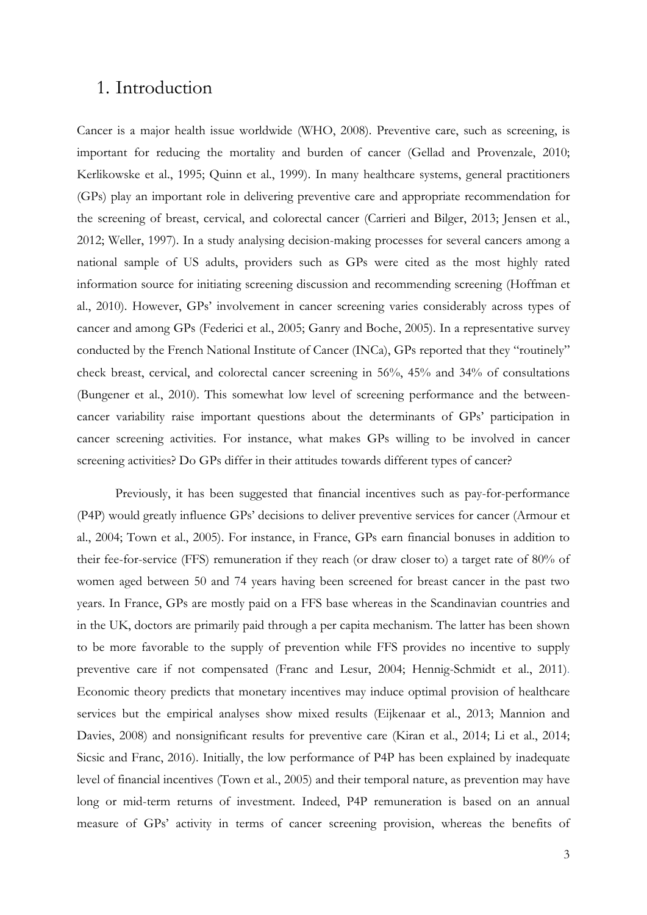## 1. Introduction

Cancer is a major health issue worldwide (WHO, 2008). Preventive care, such as screening, is important for reducing the mortality and burden of cancer (Gellad and Provenzale, 2010; Kerlikowske et al., 1995; Quinn et al., 1999). In many healthcare systems, general practitioners (GPs) play an important role in delivering preventive care and appropriate recommendation for the screening of breast, cervical, and colorectal cancer (Carrieri and Bilger, 2013; Jensen et al., 2012; Weller, 1997). In a study analysing decision-making processes for several cancers among a national sample of US adults, providers such as GPs were cited as the most highly rated information source for initiating screening discussion and recommending screening (Hoffman et al., 2010). However, GPs' involvement in cancer screening varies considerably across types of cancer and among GPs (Federici et al., 2005; Ganry and Boche, 2005). In a representative survey conducted by the French National Institute of Cancer (INCa), GPs reported that they "routinely" check breast, cervical, and colorectal cancer screening in 56%, 45% and 34% of consultations (Bungener et al., 2010). This somewhat low level of screening performance and the betweencancer variability raise important questions about the determinants of GPs' participation in cancer screening activities. For instance, what makes GPs willing to be involved in cancer screening activities? Do GPs differ in their attitudes towards different types of cancer?

Previously, it has been suggested that financial incentives such as pay-for-performance (P4P) would greatly influence GPs' decisions to deliver preventive services for cancer (Armour et al., 2004; Town et al., 2005). For instance, in France, GPs earn financial bonuses in addition to their fee-for-service (FFS) remuneration if they reach (or draw closer to) a target rate of 80% of women aged between 50 and 74 years having been screened for breast cancer in the past two years. In France, GPs are mostly paid on a FFS base whereas in the Scandinavian countries and in the UK, doctors are primarily paid through a per capita mechanism. The latter has been shown to be more favorable to the supply of prevention while FFS provides no incentive to supply preventive care if not compensated (Franc and Lesur, 2004; Hennig-Schmidt et al., 2011). Economic theory predicts that monetary incentives may induce optimal provision of healthcare services but the empirical analyses show mixed results (Eijkenaar et al., 2013; Mannion and Davies, 2008) and nonsignificant results for preventive care (Kiran et al., 2014; Li et al., 2014; Sicsic and Franc, 2016). Initially, the low performance of P4P has been explained by inadequate level of financial incentives (Town et al., 2005) and their temporal nature, as prevention may have long or mid-term returns of investment. Indeed, P4P remuneration is based on an annual measure of GPs' activity in terms of cancer screening provision, whereas the benefits of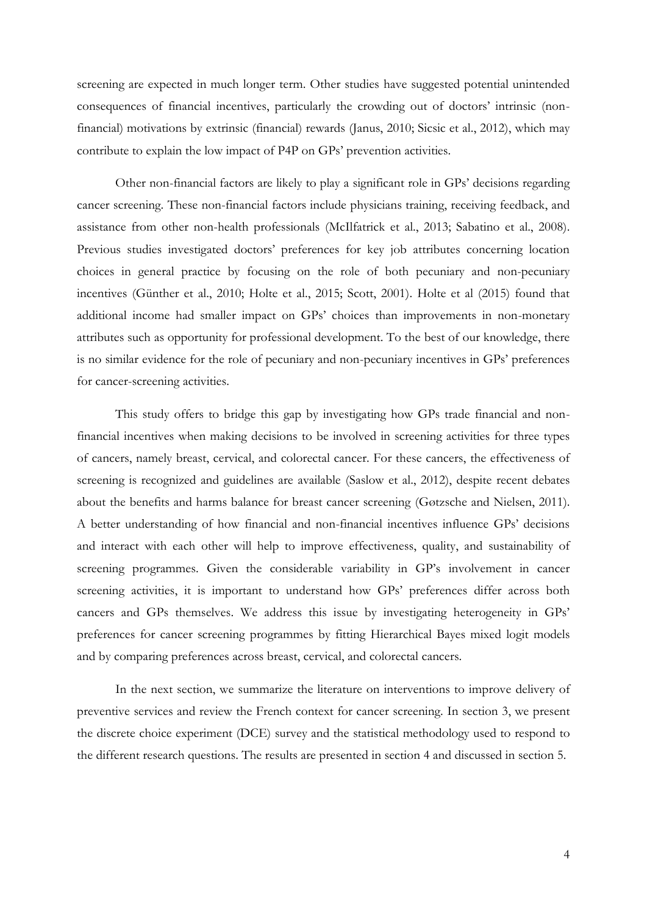screening are expected in much longer term. Other studies have suggested potential unintended consequences of financial incentives, particularly the crowding out of doctors' intrinsic (nonfinancial) motivations by extrinsic (financial) rewards (Janus, 2010; Sicsic et al., 2012), which may contribute to explain the low impact of P4P on GPs' prevention activities.

Other non-financial factors are likely to play a significant role in GPs' decisions regarding cancer screening. These non-financial factors include physicians training, receiving feedback, and assistance from other non-health professionals (McIlfatrick et al., 2013; Sabatino et al., 2008). Previous studies investigated doctors' preferences for key job attributes concerning location choices in general practice by focusing on the role of both pecuniary and non-pecuniary incentives (Günther et al., 2010; Holte et al., 2015; Scott, 2001). Holte et al (2015) found that additional income had smaller impact on GPs' choices than improvements in non-monetary attributes such as opportunity for professional development. To the best of our knowledge, there is no similar evidence for the role of pecuniary and non-pecuniary incentives in GPs' preferences for cancer-screening activities.

This study offers to bridge this gap by investigating how GPs trade financial and nonfinancial incentives when making decisions to be involved in screening activities for three types of cancers, namely breast, cervical, and colorectal cancer. For these cancers, the effectiveness of screening is recognized and guidelines are available (Saslow et al., 2012), despite recent debates about the benefits and harms balance for breast cancer screening (Gøtzsche and Nielsen, 2011). A better understanding of how financial and non-financial incentives influence GPs' decisions and interact with each other will help to improve effectiveness, quality, and sustainability of screening programmes. Given the considerable variability in GP's involvement in cancer screening activities, it is important to understand how GPs' preferences differ across both cancers and GPs themselves. We address this issue by investigating heterogeneity in GPs' preferences for cancer screening programmes by fitting Hierarchical Bayes mixed logit models and by comparing preferences across breast, cervical, and colorectal cancers.

In the next section, we summarize the literature on interventions to improve delivery of preventive services and review the French context for cancer screening. In section 3, we present the discrete choice experiment (DCE) survey and the statistical methodology used to respond to the different research questions. The results are presented in section 4 and discussed in section 5.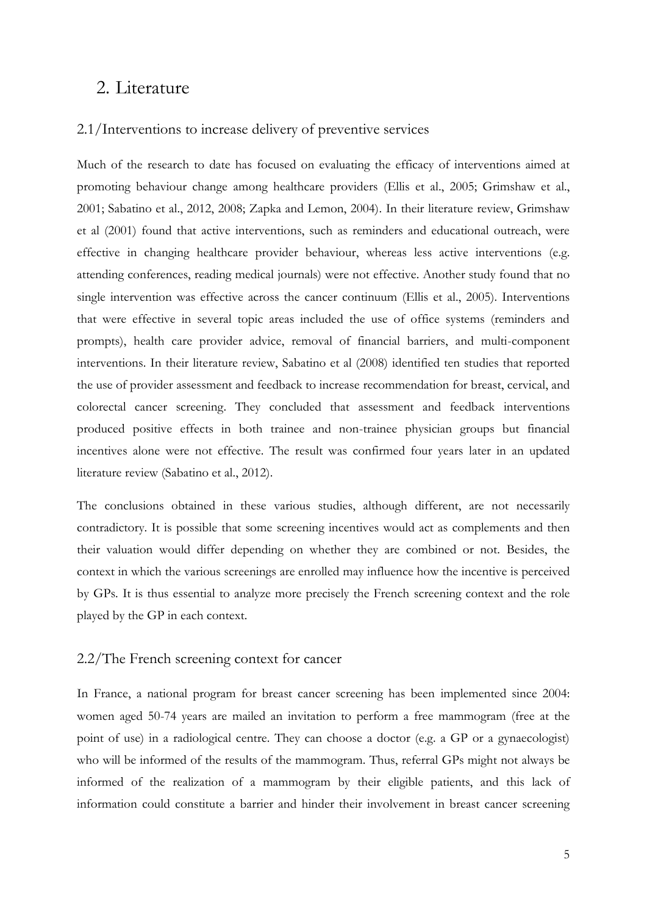### 2. Literature

#### 2.1/Interventions to increase delivery of preventive services

Much of the research to date has focused on evaluating the efficacy of interventions aimed at promoting behaviour change among healthcare providers (Ellis et al., 2005; Grimshaw et al., 2001; Sabatino et al., 2012, 2008; Zapka and Lemon, 2004). In their literature review, Grimshaw et al (2001) found that active interventions, such as reminders and educational outreach, were effective in changing healthcare provider behaviour, whereas less active interventions (e.g. attending conferences, reading medical journals) were not effective. Another study found that no single intervention was effective across the cancer continuum (Ellis et al., 2005). Interventions that were effective in several topic areas included the use of office systems (reminders and prompts), health care provider advice, removal of financial barriers, and multi-component interventions. In their literature review, Sabatino et al (2008) identified ten studies that reported the use of provider assessment and feedback to increase recommendation for breast, cervical, and colorectal cancer screening. They concluded that assessment and feedback interventions produced positive effects in both trainee and non-trainee physician groups but financial incentives alone were not effective. The result was confirmed four years later in an updated literature review (Sabatino et al., 2012).

The conclusions obtained in these various studies, although different, are not necessarily contradictory. It is possible that some screening incentives would act as complements and then their valuation would differ depending on whether they are combined or not. Besides, the context in which the various screenings are enrolled may influence how the incentive is perceived by GPs. It is thus essential to analyze more precisely the French screening context and the role played by the GP in each context.

#### 2.2/The French screening context for cancer

In France, a national program for breast cancer screening has been implemented since 2004: women aged 50-74 years are mailed an invitation to perform a free mammogram (free at the point of use) in a radiological centre. They can choose a doctor (e.g. a GP or a gynaecologist) who will be informed of the results of the mammogram. Thus, referral GPs might not always be informed of the realization of a mammogram by their eligible patients, and this lack of information could constitute a barrier and hinder their involvement in breast cancer screening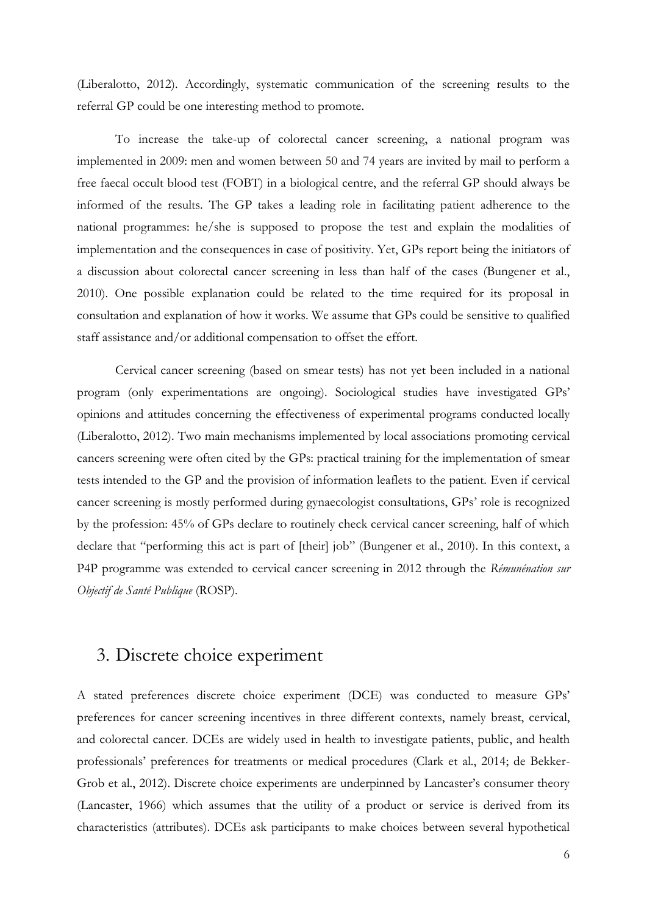(Liberalotto, 2012). Accordingly, systematic communication of the screening results to the referral GP could be one interesting method to promote.

To increase the take-up of colorectal cancer screening, a national program was implemented in 2009: men and women between 50 and 74 years are invited by mail to perform a free faecal occult blood test (FOBT) in a biological centre, and the referral GP should always be informed of the results. The GP takes a leading role in facilitating patient adherence to the national programmes: he/she is supposed to propose the test and explain the modalities of implementation and the consequences in case of positivity. Yet, GPs report being the initiators of a discussion about colorectal cancer screening in less than half of the cases (Bungener et al., 2010). One possible explanation could be related to the time required for its proposal in consultation and explanation of how it works. We assume that GPs could be sensitive to qualified staff assistance and/or additional compensation to offset the effort.

Cervical cancer screening (based on smear tests) has not yet been included in a national program (only experimentations are ongoing). Sociological studies have investigated GPs' opinions and attitudes concerning the effectiveness of experimental programs conducted locally (Liberalotto, 2012). Two main mechanisms implemented by local associations promoting cervical cancers screening were often cited by the GPs: practical training for the implementation of smear tests intended to the GP and the provision of information leaflets to the patient. Even if cervical cancer screening is mostly performed during gynaecologist consultations, GPs' role is recognized by the profession: 45% of GPs declare to routinely check cervical cancer screening, half of which declare that "performing this act is part of [their] job" (Bungener et al., 2010). In this context, a P4P programme was extended to cervical cancer screening in 2012 through the *Rémunénation sur Objectif de Santé Publique* (ROSP).

## 3. Discrete choice experiment

A stated preferences discrete choice experiment (DCE) was conducted to measure GPs' preferences for cancer screening incentives in three different contexts, namely breast, cervical, and colorectal cancer. DCEs are widely used in health to investigate patients, public, and health professionals' preferences for treatments or medical procedures (Clark et al., 2014; de Bekker-Grob et al., 2012). Discrete choice experiments are underpinned by Lancaster's consumer theory (Lancaster, 1966) which assumes that the utility of a product or service is derived from its characteristics (attributes). DCEs ask participants to make choices between several hypothetical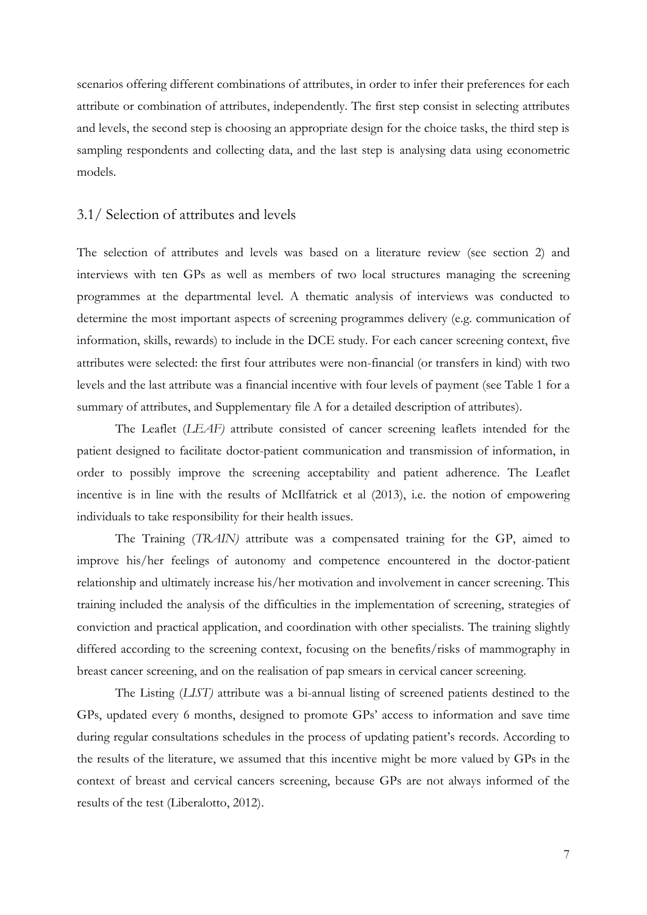scenarios offering different combinations of attributes, in order to infer their preferences for each attribute or combination of attributes, independently. The first step consist in selecting attributes and levels, the second step is choosing an appropriate design for the choice tasks, the third step is sampling respondents and collecting data, and the last step is analysing data using econometric models.

#### 3.1/ Selection of attributes and levels

The selection of attributes and levels was based on a literature review (see section 2) and interviews with ten GPs as well as members of two local structures managing the screening programmes at the departmental level. A thematic analysis of interviews was conducted to determine the most important aspects of screening programmes delivery (e.g. communication of information, skills, rewards) to include in the DCE study. For each cancer screening context, five attributes were selected: the first four attributes were non-financial (or transfers in kind) with two levels and the last attribute was a financial incentive with four levels of payment (see Table 1 for a summary of attributes, and Supplementary file A for a detailed description of attributes).

The Leaflet (*LEAF)* attribute consisted of cancer screening leaflets intended for the patient designed to facilitate doctor-patient communication and transmission of information, in order to possibly improve the screening acceptability and patient adherence. The Leaflet incentive is in line with the results of McIlfatrick et al (2013), i.e. the notion of empowering individuals to take responsibility for their health issues.

The Training (*TRAIN)* attribute was a compensated training for the GP, aimed to improve his/her feelings of autonomy and competence encountered in the doctor-patient relationship and ultimately increase his/her motivation and involvement in cancer screening. This training included the analysis of the difficulties in the implementation of screening, strategies of conviction and practical application, and coordination with other specialists. The training slightly differed according to the screening context, focusing on the benefits/risks of mammography in breast cancer screening, and on the realisation of pap smears in cervical cancer screening.

The Listing (*LIST)* attribute was a bi-annual listing of screened patients destined to the GPs, updated every 6 months, designed to promote GPs' access to information and save time during regular consultations schedules in the process of updating patient's records. According to the results of the literature, we assumed that this incentive might be more valued by GPs in the context of breast and cervical cancers screening, because GPs are not always informed of the results of the test (Liberalotto, 2012).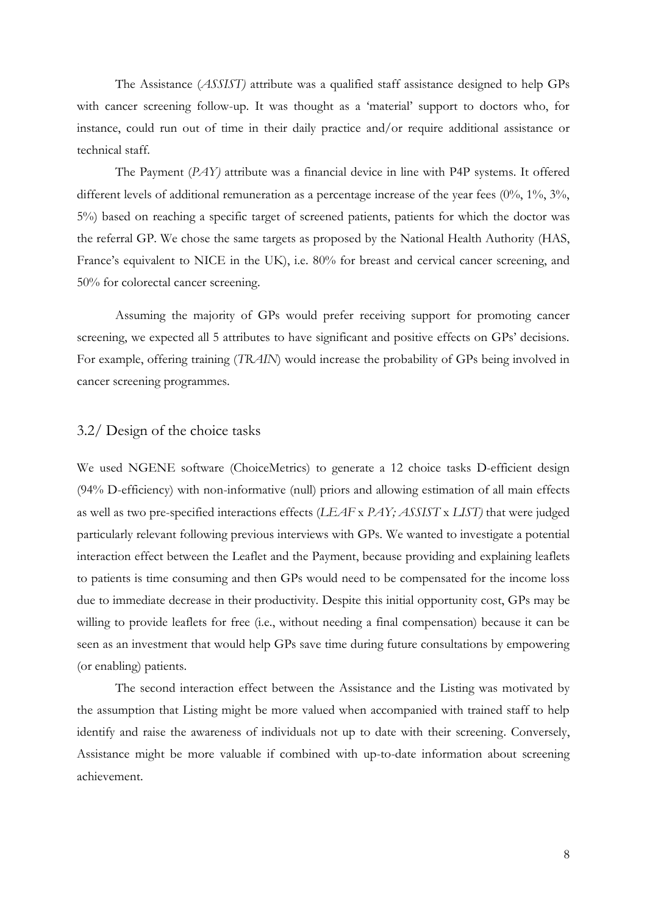The Assistance (*ASSIST)* attribute was a qualified staff assistance designed to help GPs with cancer screening follow-up. It was thought as a 'material' support to doctors who, for instance, could run out of time in their daily practice and/or require additional assistance or technical staff.

The Payment (*PAY)* attribute was a financial device in line with P4P systems. It offered different levels of additional remuneration as a percentage increase of the year fees (0%, 1%, 3%, 5%) based on reaching a specific target of screened patients, patients for which the doctor was the referral GP. We chose the same targets as proposed by the National Health Authority (HAS, France's equivalent to NICE in the UK), i.e. 80% for breast and cervical cancer screening, and 50% for colorectal cancer screening.

Assuming the majority of GPs would prefer receiving support for promoting cancer screening, we expected all 5 attributes to have significant and positive effects on GPs' decisions. For example, offering training (*TRAIN*) would increase the probability of GPs being involved in cancer screening programmes.

#### 3.2/ Design of the choice tasks

We used NGENE software (ChoiceMetrics) to generate a 12 choice tasks D-efficient design (94% D-efficiency) with non-informative (null) priors and allowing estimation of all main effects as well as two pre-specified interactions effects (*LEAF* x *PAY; ASSIST* x *LIST)* that were judged particularly relevant following previous interviews with GPs*.* We wanted to investigate a potential interaction effect between the Leaflet and the Payment, because providing and explaining leaflets to patients is time consuming and then GPs would need to be compensated for the income loss due to immediate decrease in their productivity. Despite this initial opportunity cost, GPs may be willing to provide leaflets for free (i.e., without needing a final compensation) because it can be seen as an investment that would help GPs save time during future consultations by empowering (or enabling) patients.

The second interaction effect between the Assistance and the Listing was motivated by the assumption that Listing might be more valued when accompanied with trained staff to help identify and raise the awareness of individuals not up to date with their screening. Conversely, Assistance might be more valuable if combined with up-to-date information about screening achievement.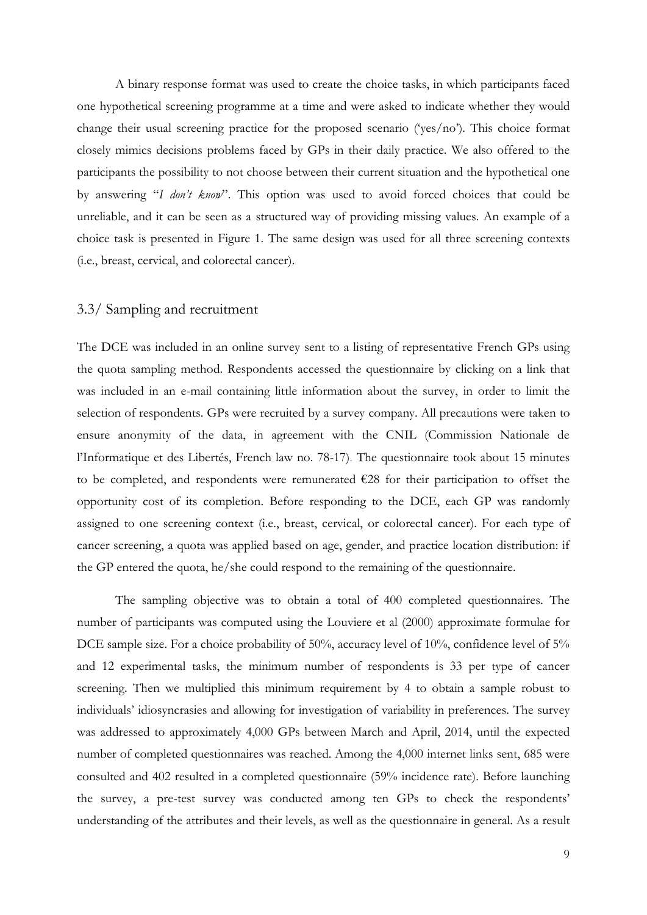A binary response format was used to create the choice tasks, in which participants faced one hypothetical screening programme at a time and were asked to indicate whether they would change their usual screening practice for the proposed scenario ('yes/no'). This choice format closely mimics decisions problems faced by GPs in their daily practice. We also offered to the participants the possibility to not choose between their current situation and the hypothetical one by answering "*I don't know*". This option was used to avoid forced choices that could be unreliable, and it can be seen as a structured way of providing missing values. An example of a choice task is presented in Figure 1. The same design was used for all three screening contexts (i.e., breast, cervical, and colorectal cancer).

#### 3.3/ Sampling and recruitment

The DCE was included in an online survey sent to a listing of representative French GPs using the quota sampling method. Respondents accessed the questionnaire by clicking on a link that was included in an e-mail containing little information about the survey, in order to limit the selection of respondents. GPs were recruited by a survey company. All precautions were taken to ensure anonymity of the data, in agreement with the CNIL (Commission Nationale de l'Informatique et des Libertés, French law no. 78-17). The questionnaire took about 15 minutes to be completed, and respondents were remunerated  $€28$  for their participation to offset the opportunity cost of its completion. Before responding to the DCE, each GP was randomly assigned to one screening context (i.e., breast, cervical, or colorectal cancer). For each type of cancer screening, a quota was applied based on age, gender, and practice location distribution: if the GP entered the quota, he/she could respond to the remaining of the questionnaire.

The sampling objective was to obtain a total of 400 completed questionnaires. The number of participants was computed using the Louviere et al (2000) approximate formulae for DCE sample size. For a choice probability of 50%, accuracy level of 10%, confidence level of 5% and 12 experimental tasks, the minimum number of respondents is 33 per type of cancer screening. Then we multiplied this minimum requirement by 4 to obtain a sample robust to individuals' idiosyncrasies and allowing for investigation of variability in preferences. The survey was addressed to approximately 4,000 GPs between March and April, 2014, until the expected number of completed questionnaires was reached. Among the 4,000 internet links sent, 685 were consulted and 402 resulted in a completed questionnaire (59% incidence rate). Before launching the survey, a pre-test survey was conducted among ten GPs to check the respondents' understanding of the attributes and their levels, as well as the questionnaire in general. As a result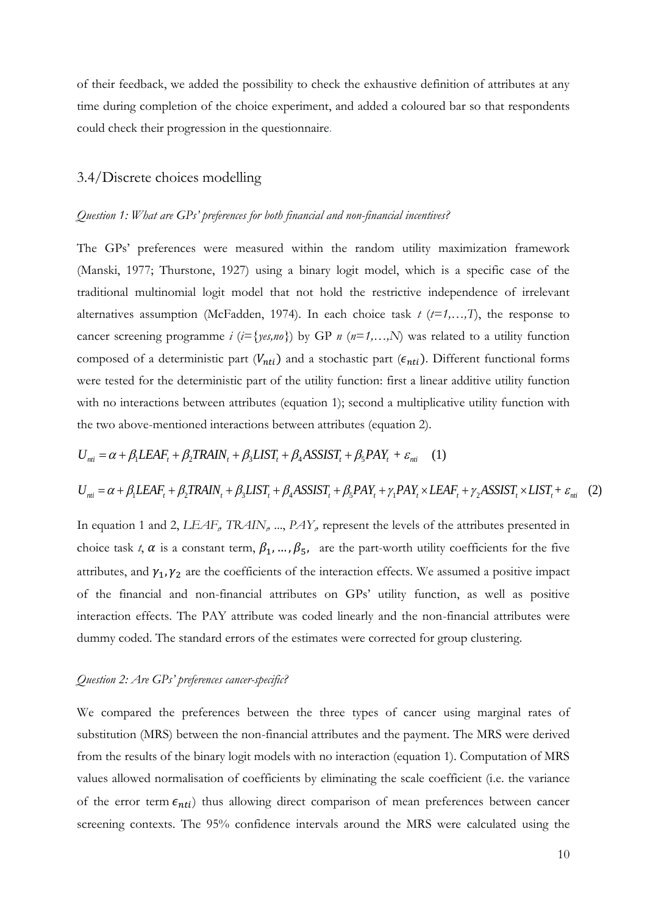of their feedback, we added the possibility to check the exhaustive definition of attributes at any time during completion of the choice experiment, and added a coloured bar so that respondents could check their progression in the questionnaire.

#### 3.4/Discrete choices modelling

#### *Question 1: What are GPs' preferences for both financial and non-financial incentives?*

The GPs' preferences were measured within the random utility maximization framework (Manski, 1977; Thurstone, 1927) using a binary logit model, which is a specific case of the traditional multinomial logit model that not hold the restrictive independence of irrelevant alternatives assumption (McFadden, 1974). In each choice task  $t$  ( $t=1,...,T$ ), the response to cancer screening programme *i* ( $i = \{yes, no\}$ ) by GP *n* ( $n = 1, ..., N$ ) was related to a utility function composed of a deterministic part ( $V_{nti}$ ) and a stochastic part ( $\epsilon_{nti}$ ). Different functional forms were tested for the deterministic part of the utility function: first a linear additive utility function with no interactions between attributes (equation 1); second a multiplicative utility function with the two above-mentioned interactions between attributes (equation 2). the two above-mentioned interactions between attributes (equation 2).<br>  $U_{ni} = \alpha + \beta_1 LEAF_t + \beta_2 TRAIN_t + \beta_3 LIST_t + \beta_4 ASSIST_t + \beta_5 PAY_t + \varepsilon_{ni}$  (1)<br>  $U_{ni} = \alpha + \beta_1 LEAF_t + \beta_2 TRAIN_t + \beta_3 LIST_t + \beta_4 ASSIST_t + \beta_5 PAY_t + \gamma_1 PAY_t \times LEAF_t + \gamma_2 ASSIST_t \times LIST_t + \varepsilon_{ni}$  (2)

$$
U_{ni} = \alpha + \beta_1 L E A F_t + \beta_2 TRAIN_t + \beta_3 LIST_t + \beta_4 ASSIST_t + \beta_5 PAY_t + \varepsilon_{ni} \tag{1}
$$

the two above-mentioned interactions between attributes (equation 2).  
\n
$$
U_{ni} = \alpha + \beta_1 LEAF_t + \beta_2 TRAIN_t + \beta_3 LIST_t + \beta_4 ASSIST_t + \beta_5 PAY_t + \varepsilon_{ni}
$$
\n(1)  
\n
$$
U_{ni} = \alpha + \beta_1 LEAF_t + \beta_2 TRAIN_t + \beta_3 LIST_t + \beta_4 ASSIST_t + \beta_5 PAY_t + \gamma_1 PAY_t \times LEAF_t + \gamma_2 ASSIST_t \times LIST_t + \varepsilon_{ni}
$$
\n(2)

In equation 1 and 2, *LEAF<sub>p</sub>* TRAIN<sub>p</sub>, ..., *PAY<sub>p</sub>* represent the levels of the attributes presented in choice task *t*,  $\alpha$  is a constant term,  $\beta_1$ , ...,  $\beta_5$ , are the part-worth utility coefficients for the five attributes, and  $\gamma_1$ ,  $\gamma_2$  are the coefficients of the interaction effects. We assumed a positive impact of the financial and non-financial attributes on GPs' utility function, as well as positive interaction effects. The PAY attribute was coded linearly and the non-financial attributes were dummy coded. The standard errors of the estimates were corrected for group clustering.

#### *Question 2: Are GPs' preferences cancer-specific?*

We compared the preferences between the three types of cancer using marginal rates of substitution (MRS) between the non-financial attributes and the payment. The MRS were derived from the results of the binary logit models with no interaction (equation 1). Computation of MRS values allowed normalisation of coefficients by eliminating the scale coefficient (i.e. the variance of the error term  $\epsilon_{nti}$ ) thus allowing direct comparison of mean preferences between cancer screening contexts. The 95% confidence intervals around the MRS were calculated using the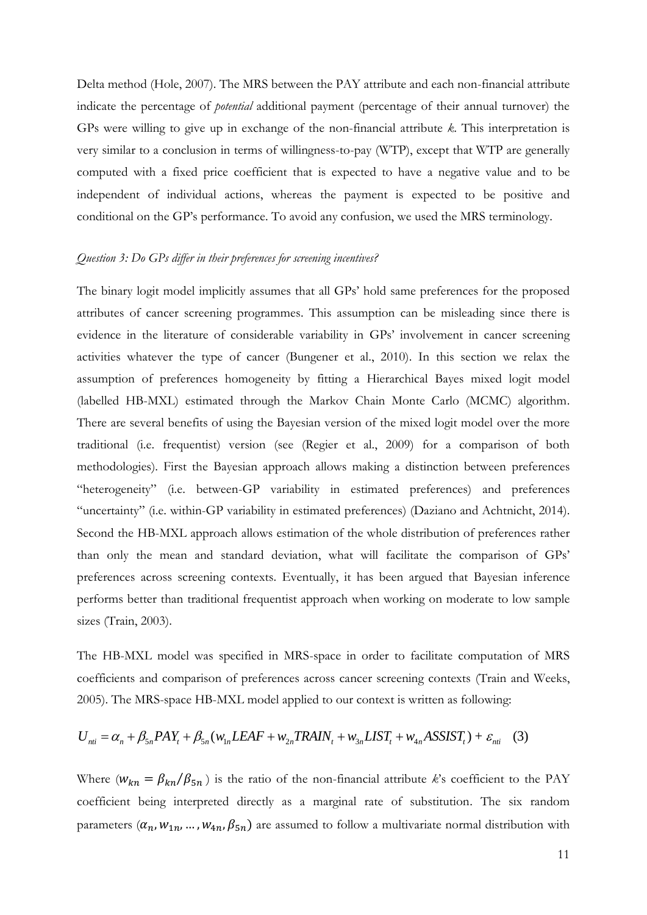Delta method (Hole, 2007). The MRS between the PAY attribute and each non-financial attribute indicate the percentage of *potential* additional payment (percentage of their annual turnover) the GPs were willing to give up in exchange of the non-financial attribute *k.* This interpretation is very similar to a conclusion in terms of willingness-to-pay (WTP), except that WTP are generally computed with a fixed price coefficient that is expected to have a negative value and to be independent of individual actions, whereas the payment is expected to be positive and conditional on the GP's performance. To avoid any confusion, we used the MRS terminology.

#### *Question 3: Do GPs differ in their preferences for screening incentives?*

The binary logit model implicitly assumes that all GPs' hold same preferences for the proposed attributes of cancer screening programmes. This assumption can be misleading since there is evidence in the literature of considerable variability in GPs' involvement in cancer screening activities whatever the type of cancer (Bungener et al., 2010). In this section we relax the assumption of preferences homogeneity by fitting a Hierarchical Bayes mixed logit model (labelled HB-MXL) estimated through the Markov Chain Monte Carlo (MCMC) algorithm. There are several benefits of using the Bayesian version of the mixed logit model over the more traditional (i.e. frequentist) version (see (Regier et al., 2009) for a comparison of both methodologies). First the Bayesian approach allows making a distinction between preferences "heterogeneity" (i.e. between-GP variability in estimated preferences) and preferences "uncertainty" (i.e. within-GP variability in estimated preferences) (Daziano and Achtnicht, 2014). Second the HB-MXL approach allows estimation of the whole distribution of preferences rather than only the mean and standard deviation, what will facilitate the comparison of GPs' preferences across screening contexts. Eventually, it has been argued that Bayesian inference performs better than traditional frequentist approach when working on moderate to low sample sizes (Train, 2003).

The HB-MXL model was specified in MRS-space in order to facilitate computation of MRS coefficients and comparison of preferences across cancer screening contexts (Train and Weeks, 2005). The MRS-space HB-MXL model applied to our context is written as following: frace the same of the set of the set of the set of the set of the set of the set of the S2005). The MRS-space HB-MXL model applied to our context is written as following:<br>  $U_{ni} = \alpha_n + \beta_{sn} PAY_t + \beta_{sn} (w_{1n} LEAF + w_{2n} TRAIN_t + w_{3n} LIST_t$ 

$$
U_{ni} = \alpha_n + \beta_{5n} PAY_t + \beta_{5n} (w_{1n} LEAF + w_{2n} TRAIN_t + w_{3n} LIST_t + w_{4n} ASSIST_t) + \varepsilon_{ni} \tag{3}
$$

Where  $(w_{kn} = \beta_{kn}/\beta_{5n})$  is the ratio of the non-financial attribute *k*'s coefficient to the PAY coefficient being interpreted directly as a marginal rate of substitution. The six random parameters  $(\alpha_n, w_{1n}, ..., w_{4n}, \beta_{5n})$  are assumed to follow a multivariate normal distribution with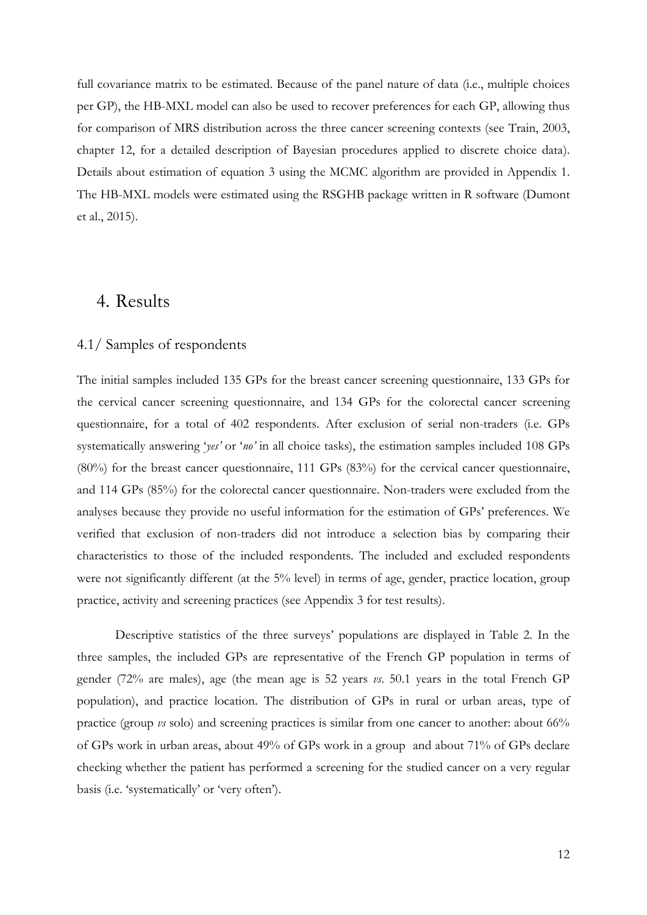full covariance matrix to be estimated. Because of the panel nature of data (i.e., multiple choices per GP), the HB-MXL model can also be used to recover preferences for each GP, allowing thus for comparison of MRS distribution across the three cancer screening contexts (see Train, 2003, chapter 12, for a detailed description of Bayesian procedures applied to discrete choice data). Details about estimation of equation 3 using the MCMC algorithm are provided in Appendix 1. The HB-MXL models were estimated using the RSGHB package written in R software (Dumont et al., 2015).

## 4. Results

#### 4.1/ Samples of respondents

The initial samples included 135 GPs for the breast cancer screening questionnaire, 133 GPs for the cervical cancer screening questionnaire, and 134 GPs for the colorectal cancer screening questionnaire, for a total of 402 respondents. After exclusion of serial non-traders (i.e. GPs systematically answering '*yes'* or '*no'* in all choice tasks), the estimation samples included 108 GPs (80%) for the breast cancer questionnaire, 111 GPs (83%) for the cervical cancer questionnaire, and 114 GPs (85%) for the colorectal cancer questionnaire. Non-traders were excluded from the analyses because they provide no useful information for the estimation of GPs' preferences. We verified that exclusion of non-traders did not introduce a selection bias by comparing their characteristics to those of the included respondents. The included and excluded respondents were not significantly different (at the 5% level) in terms of age, gender, practice location, group practice, activity and screening practices (see Appendix 3 for test results).

Descriptive statistics of the three surveys' populations are displayed in Table 2. In the three samples, the included GPs are representative of the French GP population in terms of gender (72% are males), age (the mean age is 52 years *vs*. 50.1 years in the total French GP population), and practice location. The distribution of GPs in rural or urban areas, type of practice (group *vs* solo) and screening practices is similar from one cancer to another: about 66% of GPs work in urban areas, about 49% of GPs work in a group and about 71% of GPs declare checking whether the patient has performed a screening for the studied cancer on a very regular basis (i.e. 'systematically' or 'very often').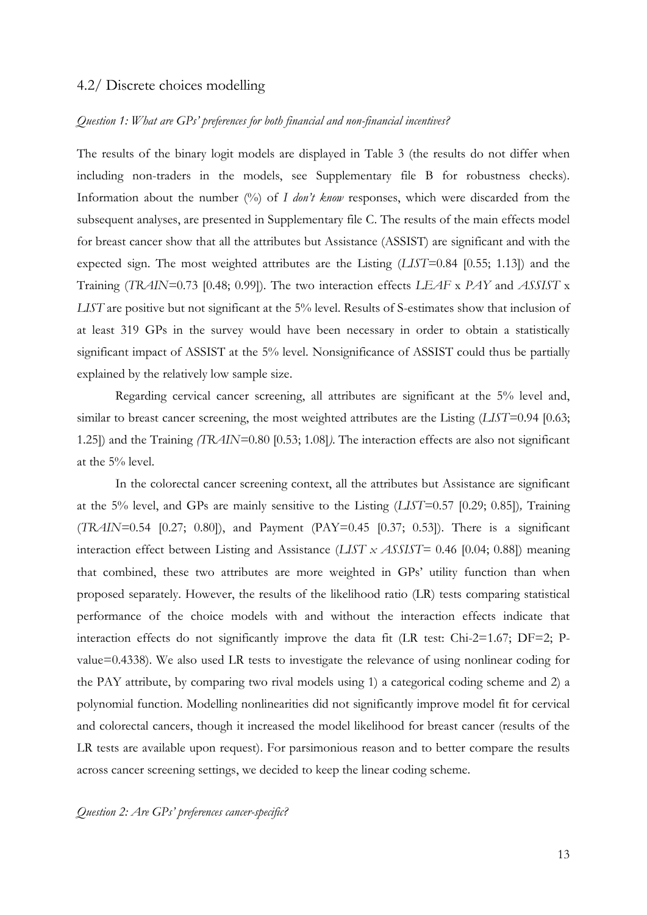#### 4.2/ Discrete choices modelling

#### *Question 1: What are GPs' preferences for both financial and non-financial incentives?*

The results of the binary logit models are displayed in Table 3 (the results do not differ when including non-traders in the models, see Supplementary file B for robustness checks). Information about the number (%) of *I don't know* responses, which were discarded from the subsequent analyses, are presented in Supplementary file C. The results of the main effects model for breast cancer show that all the attributes but Assistance (ASSIST) are significant and with the expected sign. The most weighted attributes are the Listing (*LIST=*0.84 [0.55; 1.13]) and the Training (*TRAIN=*0.73 [0.48; 0.99]). The two interaction effects *LEAF* x *PAY* and *ASSIST* x *LIST* are positive but not significant at the 5% level. Results of S-estimates show that inclusion of at least 319 GPs in the survey would have been necessary in order to obtain a statistically significant impact of ASSIST at the 5% level. Nonsignificance of ASSIST could thus be partially explained by the relatively low sample size.

Regarding cervical cancer screening, all attributes are significant at the 5% level and, similar to breast cancer screening, the most weighted attributes are the Listing (*LIST=*0.94 [0.63; 1.25]) and the Training *(TRAIN=*0.80 [0.53; 1.08]*)*. The interaction effects are also not significant at the 5% level.

In the colorectal cancer screening context, all the attributes but Assistance are significant at the 5% level, and GPs are mainly sensitive to the Listing (*LIST=*0.57 [0.29; 0.85])*,* Training (*TRAIN=*0.54 [0.27; 0.80]), and Payment (PAY=0.45 [0.37; 0.53]). There is a significant interaction effect between Listing and Assistance (*LIST x ASSIST=* 0.46 [0.04; 0.88]) meaning that combined, these two attributes are more weighted in GPs' utility function than when proposed separately. However, the results of the likelihood ratio (LR) tests comparing statistical performance of the choice models with and without the interaction effects indicate that interaction effects do not significantly improve the data fit (LR test: Chi-2=1.67; DF=2; Pvalue=0.4338). We also used LR tests to investigate the relevance of using nonlinear coding for the PAY attribute, by comparing two rival models using 1) a categorical coding scheme and 2) a polynomial function. Modelling nonlinearities did not significantly improve model fit for cervical and colorectal cancers, though it increased the model likelihood for breast cancer (results of the LR tests are available upon request). For parsimonious reason and to better compare the results across cancer screening settings, we decided to keep the linear coding scheme.

#### *Question 2: Are GPs' preferences cancer-specific?*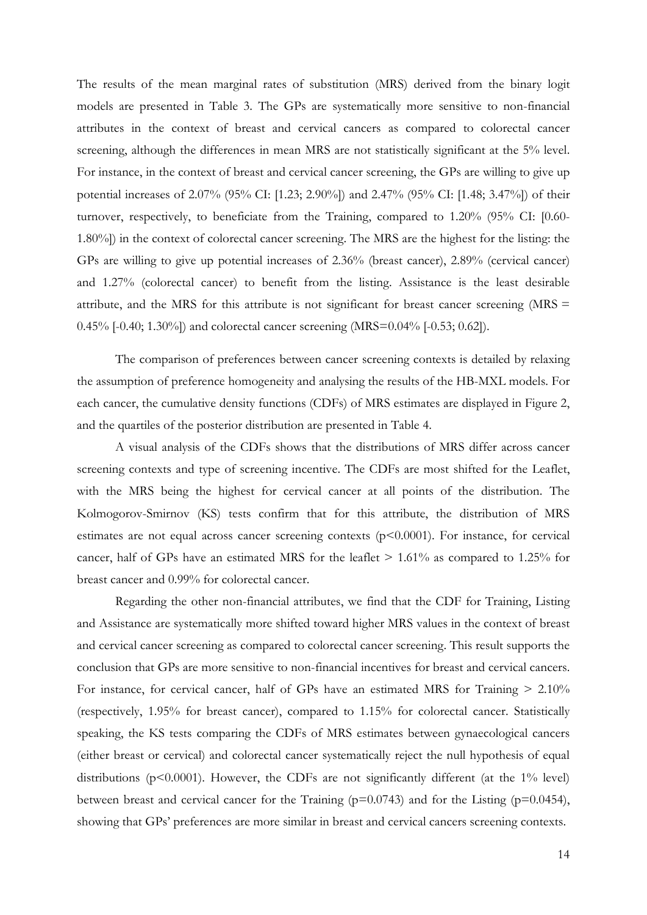The results of the mean marginal rates of substitution (MRS) derived from the binary logit models are presented in Table 3. The GPs are systematically more sensitive to non-financial attributes in the context of breast and cervical cancers as compared to colorectal cancer screening, although the differences in mean MRS are not statistically significant at the 5% level. For instance, in the context of breast and cervical cancer screening, the GPs are willing to give up potential increases of 2.07% (95% CI: [1.23; 2.90%]) and 2.47% (95% CI: [1.48; 3.47%]) of their turnover, respectively, to beneficiate from the Training, compared to 1.20% (95% CI: [0.60- 1.80%]) in the context of colorectal cancer screening. The MRS are the highest for the listing: the GPs are willing to give up potential increases of 2.36% (breast cancer), 2.89% (cervical cancer) and 1.27% (colorectal cancer) to benefit from the listing. Assistance is the least desirable attribute, and the MRS for this attribute is not significant for breast cancer screening (MRS = 0.45% [-0.40; 1.30%]) and colorectal cancer screening (MRS=0.04% [-0.53; 0.62]).

The comparison of preferences between cancer screening contexts is detailed by relaxing the assumption of preference homogeneity and analysing the results of the HB-MXL models. For each cancer, the cumulative density functions (CDFs) of MRS estimates are displayed in Figure 2, and the quartiles of the posterior distribution are presented in Table 4.

A visual analysis of the CDFs shows that the distributions of MRS differ across cancer screening contexts and type of screening incentive. The CDFs are most shifted for the Leaflet, with the MRS being the highest for cervical cancer at all points of the distribution. The Kolmogorov-Smirnov (KS) tests confirm that for this attribute, the distribution of MRS estimates are not equal across cancer screening contexts (p<0.0001). For instance, for cervical cancer, half of GPs have an estimated MRS for the leaflet  $> 1.61\%$  as compared to 1.25% for breast cancer and 0.99% for colorectal cancer.

Regarding the other non-financial attributes, we find that the CDF for Training, Listing and Assistance are systematically more shifted toward higher MRS values in the context of breast and cervical cancer screening as compared to colorectal cancer screening. This result supports the conclusion that GPs are more sensitive to non-financial incentives for breast and cervical cancers. For instance, for cervical cancer, half of GPs have an estimated MRS for Training  $> 2.10\%$ (respectively, 1.95% for breast cancer), compared to 1.15% for colorectal cancer. Statistically speaking, the KS tests comparing the CDFs of MRS estimates between gynaecological cancers (either breast or cervical) and colorectal cancer systematically reject the null hypothesis of equal distributions (p<0.0001). However, the CDFs are not significantly different (at the 1% level) between breast and cervical cancer for the Training (p=0.0743) and for the Listing (p=0.0454), showing that GPs' preferences are more similar in breast and cervical cancers screening contexts.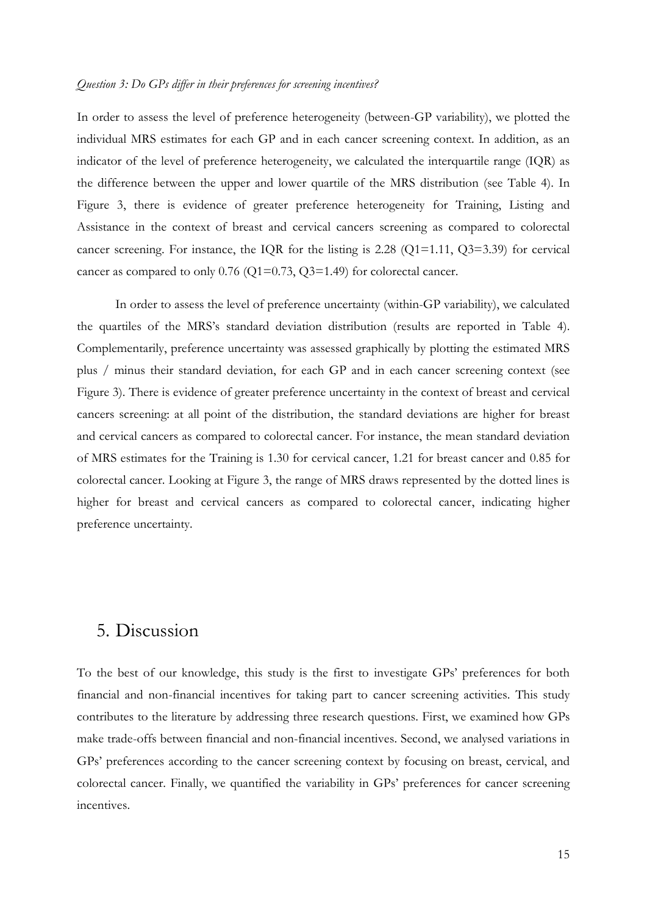#### *Question 3: Do GPs differ in their preferences for screening incentives?*

In order to assess the level of preference heterogeneity (between-GP variability), we plotted the individual MRS estimates for each GP and in each cancer screening context. In addition, as an indicator of the level of preference heterogeneity, we calculated the interquartile range (IQR) as the difference between the upper and lower quartile of the MRS distribution (see Table 4). In Figure 3, there is evidence of greater preference heterogeneity for Training, Listing and Assistance in the context of breast and cervical cancers screening as compared to colorectal cancer screening. For instance, the IQR for the listing is 2.28 (Q1=1.11, Q3=3.39) for cervical cancer as compared to only 0.76 (Q1=0.73, Q3=1.49) for colorectal cancer.

In order to assess the level of preference uncertainty (within-GP variability), we calculated the quartiles of the MRS's standard deviation distribution (results are reported in Table 4). Complementarily, preference uncertainty was assessed graphically by plotting the estimated MRS plus / minus their standard deviation, for each GP and in each cancer screening context (see Figure 3). There is evidence of greater preference uncertainty in the context of breast and cervical cancers screening: at all point of the distribution, the standard deviations are higher for breast and cervical cancers as compared to colorectal cancer. For instance, the mean standard deviation of MRS estimates for the Training is 1.30 for cervical cancer, 1.21 for breast cancer and 0.85 for colorectal cancer. Looking at Figure 3, the range of MRS draws represented by the dotted lines is higher for breast and cervical cancers as compared to colorectal cancer, indicating higher preference uncertainty.

## 5. Discussion

To the best of our knowledge, this study is the first to investigate GPs' preferences for both financial and non-financial incentives for taking part to cancer screening activities. This study contributes to the literature by addressing three research questions. First, we examined how GPs make trade-offs between financial and non-financial incentives. Second, we analysed variations in GPs' preferences according to the cancer screening context by focusing on breast, cervical, and colorectal cancer. Finally, we quantified the variability in GPs' preferences for cancer screening incentives.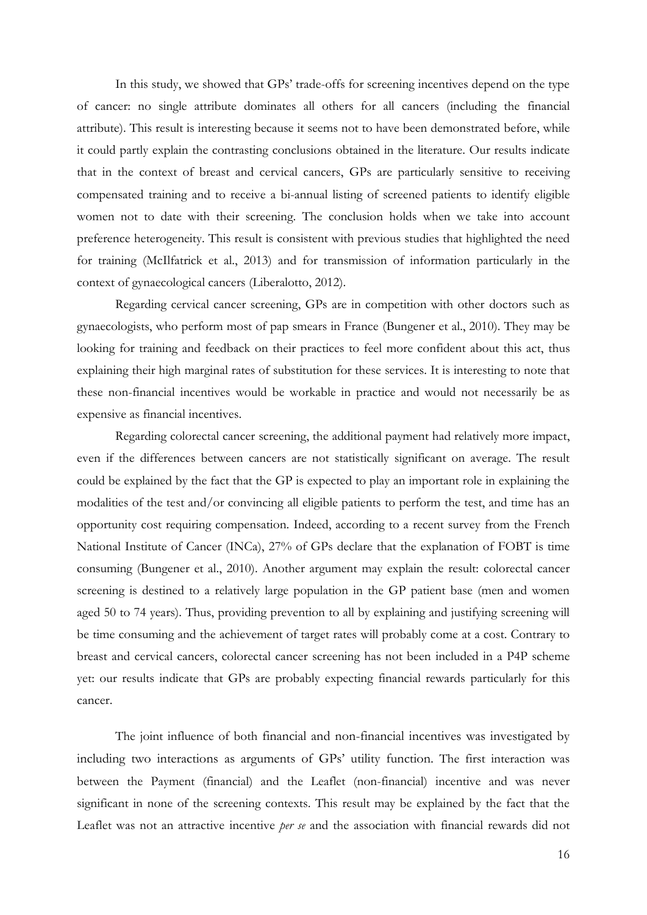In this study, we showed that GPs' trade-offs for screening incentives depend on the type of cancer: no single attribute dominates all others for all cancers (including the financial attribute). This result is interesting because it seems not to have been demonstrated before, while it could partly explain the contrasting conclusions obtained in the literature. Our results indicate that in the context of breast and cervical cancers, GPs are particularly sensitive to receiving compensated training and to receive a bi-annual listing of screened patients to identify eligible women not to date with their screening. The conclusion holds when we take into account preference heterogeneity. This result is consistent with previous studies that highlighted the need for training (McIlfatrick et al., 2013) and for transmission of information particularly in the context of gynaecological cancers (Liberalotto, 2012).

Regarding cervical cancer screening, GPs are in competition with other doctors such as gynaecologists, who perform most of pap smears in France (Bungener et al., 2010). They may be looking for training and feedback on their practices to feel more confident about this act, thus explaining their high marginal rates of substitution for these services. It is interesting to note that these non-financial incentives would be workable in practice and would not necessarily be as expensive as financial incentives.

Regarding colorectal cancer screening, the additional payment had relatively more impact, even if the differences between cancers are not statistically significant on average. The result could be explained by the fact that the GP is expected to play an important role in explaining the modalities of the test and/or convincing all eligible patients to perform the test, and time has an opportunity cost requiring compensation. Indeed, according to a recent survey from the French National Institute of Cancer (INCa), 27% of GPs declare that the explanation of FOBT is time consuming (Bungener et al., 2010). Another argument may explain the result: colorectal cancer screening is destined to a relatively large population in the GP patient base (men and women aged 50 to 74 years). Thus, providing prevention to all by explaining and justifying screening will be time consuming and the achievement of target rates will probably come at a cost. Contrary to breast and cervical cancers, colorectal cancer screening has not been included in a P4P scheme yet: our results indicate that GPs are probably expecting financial rewards particularly for this cancer.

The joint influence of both financial and non-financial incentives was investigated by including two interactions as arguments of GPs' utility function. The first interaction was between the Payment (financial) and the Leaflet (non-financial) incentive and was never significant in none of the screening contexts. This result may be explained by the fact that the Leaflet was not an attractive incentive *per se* and the association with financial rewards did not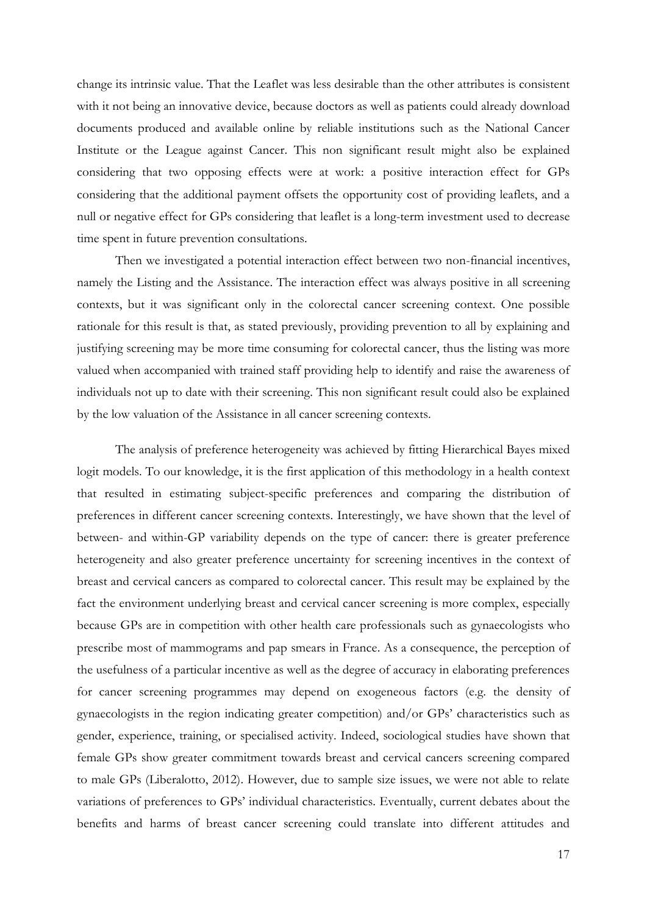change its intrinsic value. That the Leaflet was less desirable than the other attributes is consistent with it not being an innovative device, because doctors as well as patients could already download documents produced and available online by reliable institutions such as the National Cancer Institute or the League against Cancer. This non significant result might also be explained considering that two opposing effects were at work: a positive interaction effect for GPs considering that the additional payment offsets the opportunity cost of providing leaflets, and a null or negative effect for GPs considering that leaflet is a long-term investment used to decrease time spent in future prevention consultations.

Then we investigated a potential interaction effect between two non-financial incentives, namely the Listing and the Assistance. The interaction effect was always positive in all screening contexts, but it was significant only in the colorectal cancer screening context. One possible rationale for this result is that, as stated previously, providing prevention to all by explaining and justifying screening may be more time consuming for colorectal cancer, thus the listing was more valued when accompanied with trained staff providing help to identify and raise the awareness of individuals not up to date with their screening. This non significant result could also be explained by the low valuation of the Assistance in all cancer screening contexts.

The analysis of preference heterogeneity was achieved by fitting Hierarchical Bayes mixed logit models. To our knowledge, it is the first application of this methodology in a health context that resulted in estimating subject-specific preferences and comparing the distribution of preferences in different cancer screening contexts. Interestingly, we have shown that the level of between- and within-GP variability depends on the type of cancer: there is greater preference heterogeneity and also greater preference uncertainty for screening incentives in the context of breast and cervical cancers as compared to colorectal cancer. This result may be explained by the fact the environment underlying breast and cervical cancer screening is more complex, especially because GPs are in competition with other health care professionals such as gynaecologists who prescribe most of mammograms and pap smears in France. As a consequence, the perception of the usefulness of a particular incentive as well as the degree of accuracy in elaborating preferences for cancer screening programmes may depend on exogeneous factors (e.g. the density of gynaecologists in the region indicating greater competition) and/or GPs' characteristics such as gender, experience, training, or specialised activity. Indeed, sociological studies have shown that female GPs show greater commitment towards breast and cervical cancers screening compared to male GPs (Liberalotto, 2012). However, due to sample size issues, we were not able to relate variations of preferences to GPs' individual characteristics. Eventually, current debates about the benefits and harms of breast cancer screening could translate into different attitudes and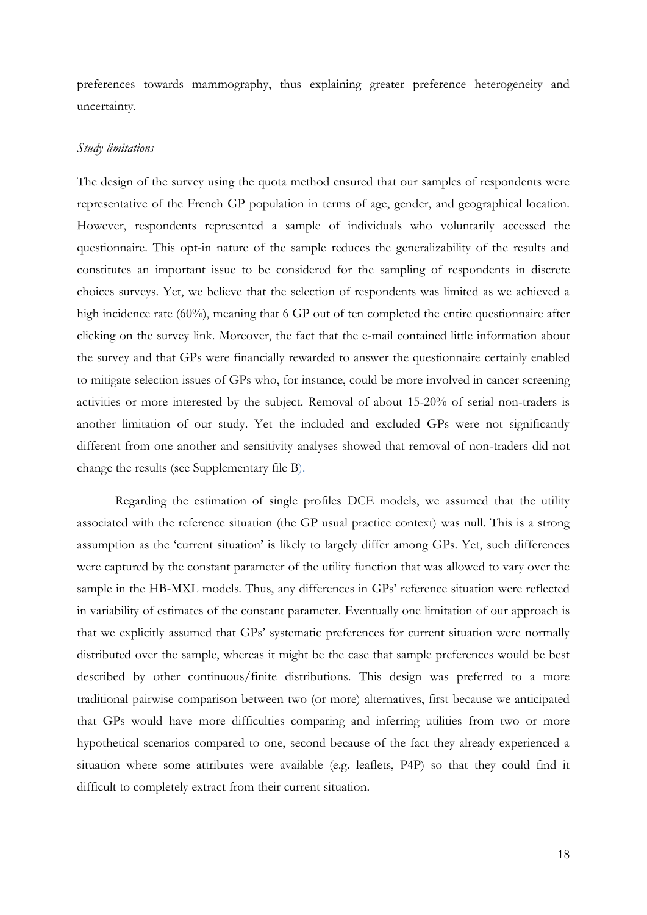preferences towards mammography, thus explaining greater preference heterogeneity and uncertainty.

#### *Study limitations*

The design of the survey using the quota method ensured that our samples of respondents were representative of the French GP population in terms of age, gender, and geographical location. However, respondents represented a sample of individuals who voluntarily accessed the questionnaire. This opt-in nature of the sample reduces the generalizability of the results and constitutes an important issue to be considered for the sampling of respondents in discrete choices surveys. Yet, we believe that the selection of respondents was limited as we achieved a high incidence rate (60%), meaning that 6 GP out of ten completed the entire questionnaire after clicking on the survey link. Moreover, the fact that the e-mail contained little information about the survey and that GPs were financially rewarded to answer the questionnaire certainly enabled to mitigate selection issues of GPs who, for instance, could be more involved in cancer screening activities or more interested by the subject. Removal of about 15-20% of serial non-traders is another limitation of our study. Yet the included and excluded GPs were not significantly different from one another and sensitivity analyses showed that removal of non-traders did not change the results (see Supplementary file B).

Regarding the estimation of single profiles DCE models, we assumed that the utility associated with the reference situation (the GP usual practice context) was null. This is a strong assumption as the 'current situation' is likely to largely differ among GPs. Yet, such differences were captured by the constant parameter of the utility function that was allowed to vary over the sample in the HB-MXL models. Thus, any differences in GPs' reference situation were reflected in variability of estimates of the constant parameter. Eventually one limitation of our approach is that we explicitly assumed that GPs' systematic preferences for current situation were normally distributed over the sample, whereas it might be the case that sample preferences would be best described by other continuous/finite distributions. This design was preferred to a more traditional pairwise comparison between two (or more) alternatives, first because we anticipated that GPs would have more difficulties comparing and inferring utilities from two or more hypothetical scenarios compared to one, second because of the fact they already experienced a situation where some attributes were available (e.g. leaflets, P4P) so that they could find it difficult to completely extract from their current situation.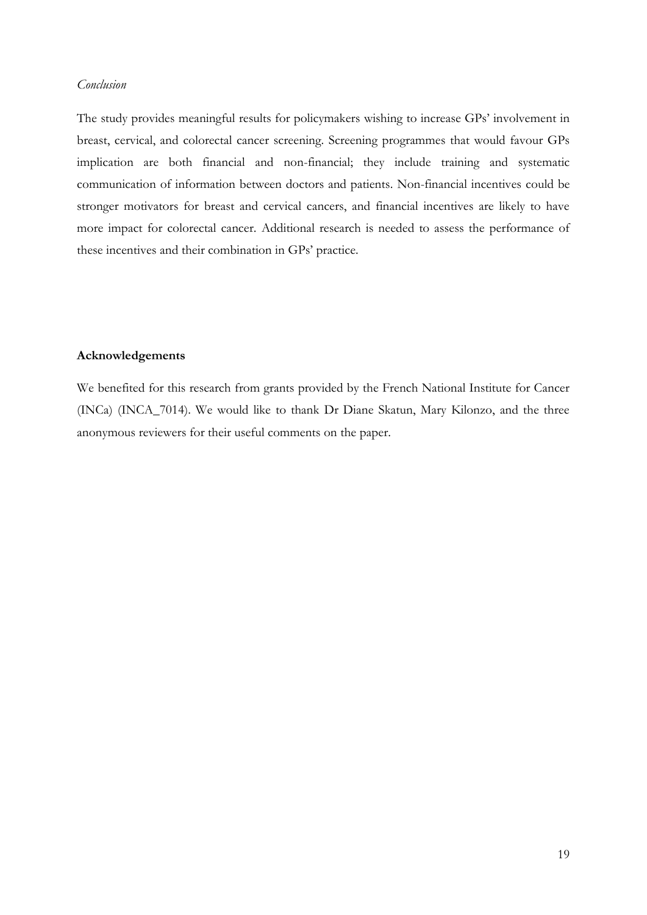#### *Conclusion*

The study provides meaningful results for policymakers wishing to increase GPs' involvement in breast, cervical, and colorectal cancer screening. Screening programmes that would favour GPs implication are both financial and non-financial; they include training and systematic communication of information between doctors and patients. Non-financial incentives could be stronger motivators for breast and cervical cancers, and financial incentives are likely to have more impact for colorectal cancer. Additional research is needed to assess the performance of these incentives and their combination in GPs' practice.

#### **Acknowledgements**

We benefited for this research from grants provided by the French National Institute for Cancer (INCa) (INCA\_7014). We would like to thank Dr Diane Skatun, Mary Kilonzo, and the three anonymous reviewers for their useful comments on the paper.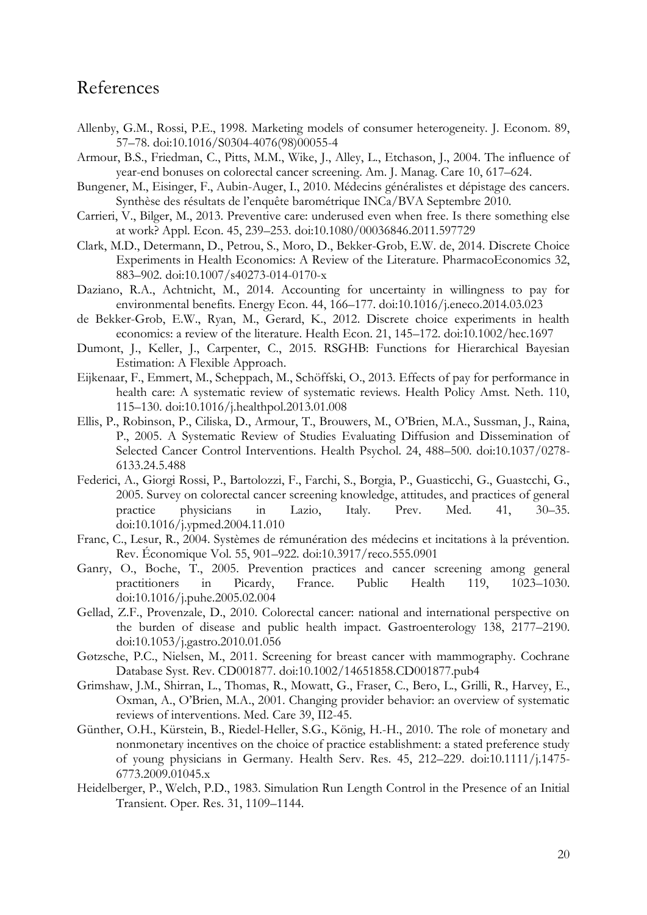## References

- Allenby, G.M., Rossi, P.E., 1998. Marketing models of consumer heterogeneity. J. Econom. 89, 57–78. doi:10.1016/S0304-4076(98)00055-4
- Armour, B.S., Friedman, C., Pitts, M.M., Wike, J., Alley, L., Etchason, J., 2004. The influence of year-end bonuses on colorectal cancer screening. Am. J. Manag. Care 10, 617–624.
- Bungener, M., Eisinger, F., Aubin-Auger, I., 2010. Médecins généralistes et dépistage des cancers. Synthèse des résultats de l'enquête barométrique INCa/BVA Septembre 2010.
- Carrieri, V., Bilger, M., 2013. Preventive care: underused even when free. Is there something else at work? Appl. Econ. 45, 239–253. doi:10.1080/00036846.2011.597729
- Clark, M.D., Determann, D., Petrou, S., Moro, D., Bekker-Grob, E.W. de, 2014. Discrete Choice Experiments in Health Economics: A Review of the Literature. PharmacoEconomics 32, 883–902. doi:10.1007/s40273-014-0170-x
- Daziano, R.A., Achtnicht, M., 2014. Accounting for uncertainty in willingness to pay for environmental benefits. Energy Econ. 44, 166–177. doi:10.1016/j.eneco.2014.03.023
- de Bekker-Grob, E.W., Ryan, M., Gerard, K., 2012. Discrete choice experiments in health economics: a review of the literature. Health Econ. 21, 145–172. doi:10.1002/hec.1697
- Dumont, J., Keller, J., Carpenter, C., 2015. RSGHB: Functions for Hierarchical Bayesian Estimation: A Flexible Approach.
- Eijkenaar, F., Emmert, M., Scheppach, M., Schöffski, O., 2013. Effects of pay for performance in health care: A systematic review of systematic reviews. Health Policy Amst. Neth. 110, 115–130. doi:10.1016/j.healthpol.2013.01.008
- Ellis, P., Robinson, P., Ciliska, D., Armour, T., Brouwers, M., O'Brien, M.A., Sussman, J., Raina, P., 2005. A Systematic Review of Studies Evaluating Diffusion and Dissemination of Selected Cancer Control Interventions. Health Psychol. 24, 488–500. doi:10.1037/0278- 6133.24.5.488
- Federici, A., Giorgi Rossi, P., Bartolozzi, F., Farchi, S., Borgia, P., Guasticchi, G., Guastcchi, G., 2005. Survey on colorectal cancer screening knowledge, attitudes, and practices of general practice physicians in Lazio, Italy. Prev. Med. 41, 30–35. doi:10.1016/j.ypmed.2004.11.010
- Franc, C., Lesur, R., 2004. Systèmes de rémunération des médecins et incitations à la prévention. Rev. Économique Vol. 55, 901–922. doi:10.3917/reco.555.0901
- Ganry, O., Boche, T., 2005. Prevention practices and cancer screening among general practitioners in Picardy, France. Public Health 119, 1023–1030. doi:10.1016/j.puhe.2005.02.004
- Gellad, Z.F., Provenzale, D., 2010. Colorectal cancer: national and international perspective on the burden of disease and public health impact. Gastroenterology 138, 2177–2190. doi:10.1053/j.gastro.2010.01.056
- Gøtzsche, P.C., Nielsen, M., 2011. Screening for breast cancer with mammography. Cochrane Database Syst. Rev. CD001877. doi:10.1002/14651858.CD001877.pub4
- Grimshaw, J.M., Shirran, L., Thomas, R., Mowatt, G., Fraser, C., Bero, L., Grilli, R., Harvey, E., Oxman, A., O'Brien, M.A., 2001. Changing provider behavior: an overview of systematic reviews of interventions. Med. Care 39, II2-45.
- Günther, O.H., Kürstein, B., Riedel-Heller, S.G., König, H.-H., 2010. The role of monetary and nonmonetary incentives on the choice of practice establishment: a stated preference study of young physicians in Germany. Health Serv. Res. 45, 212–229. doi:10.1111/j.1475- 6773.2009.01045.x
- Heidelberger, P., Welch, P.D., 1983. Simulation Run Length Control in the Presence of an Initial Transient. Oper. Res. 31, 1109–1144.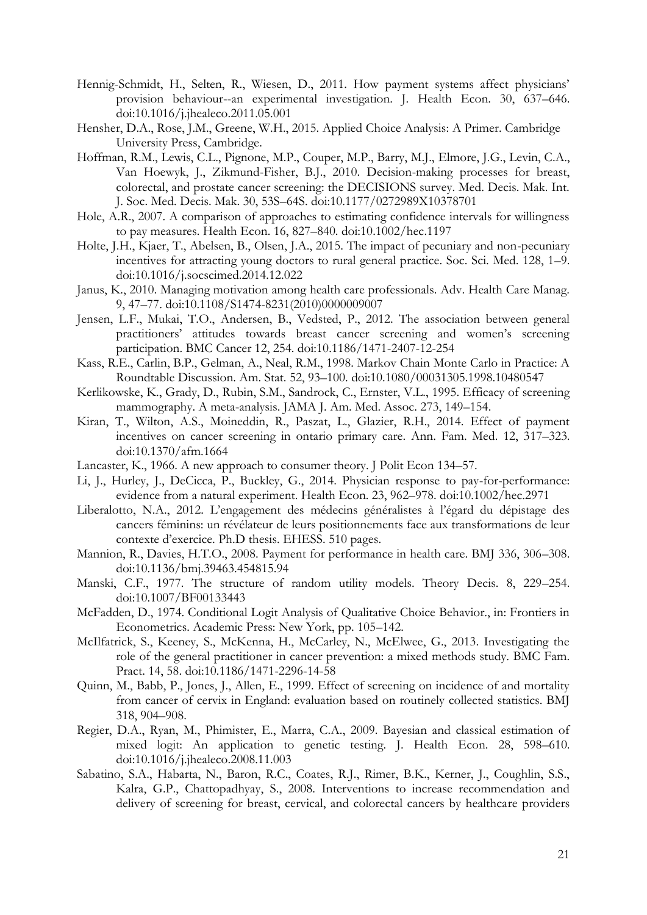- Hennig-Schmidt, H., Selten, R., Wiesen, D., 2011. How payment systems affect physicians' provision behaviour--an experimental investigation. J. Health Econ. 30, 637–646. doi:10.1016/j.jhealeco.2011.05.001
- Hensher, D.A., Rose, J.M., Greene, W.H., 2015. Applied Choice Analysis: A Primer. Cambridge University Press, Cambridge.
- Hoffman, R.M., Lewis, C.L., Pignone, M.P., Couper, M.P., Barry, M.J., Elmore, J.G., Levin, C.A., Van Hoewyk, J., Zikmund-Fisher, B.J., 2010. Decision-making processes for breast, colorectal, and prostate cancer screening: the DECISIONS survey. Med. Decis. Mak. Int. J. Soc. Med. Decis. Mak. 30, 53S–64S. doi:10.1177/0272989X10378701
- Hole, A.R., 2007. A comparison of approaches to estimating confidence intervals for willingness to pay measures. Health Econ. 16, 827–840. doi:10.1002/hec.1197
- Holte, J.H., Kjaer, T., Abelsen, B., Olsen, J.A., 2015. The impact of pecuniary and non-pecuniary incentives for attracting young doctors to rural general practice. Soc. Sci. Med. 128, 1–9. doi:10.1016/j.socscimed.2014.12.022
- Janus, K., 2010. Managing motivation among health care professionals. Adv. Health Care Manag. 9, 47–77. doi:10.1108/S1474-8231(2010)0000009007
- Jensen, L.F., Mukai, T.O., Andersen, B., Vedsted, P., 2012. The association between general practitioners' attitudes towards breast cancer screening and women's screening participation. BMC Cancer 12, 254. doi:10.1186/1471-2407-12-254
- Kass, R.E., Carlin, B.P., Gelman, A., Neal, R.M., 1998. Markov Chain Monte Carlo in Practice: A Roundtable Discussion. Am. Stat. 52, 93–100. doi:10.1080/00031305.1998.10480547
- Kerlikowske, K., Grady, D., Rubin, S.M., Sandrock, C., Ernster, V.L., 1995. Efficacy of screening mammography. A meta-analysis. JAMA J. Am. Med. Assoc. 273, 149–154.
- Kiran, T., Wilton, A.S., Moineddin, R., Paszat, L., Glazier, R.H., 2014. Effect of payment incentives on cancer screening in ontario primary care. Ann. Fam. Med. 12, 317–323. doi:10.1370/afm.1664
- Lancaster, K., 1966. A new approach to consumer theory. J Polit Econ 134–57.
- Li, J., Hurley, J., DeCicca, P., Buckley, G., 2014. Physician response to pay-for-performance: evidence from a natural experiment. Health Econ. 23, 962–978. doi:10.1002/hec.2971
- Liberalotto, N.A., 2012. L'engagement des médecins généralistes à l'égard du dépistage des cancers féminins: un révélateur de leurs positionnements face aux transformations de leur contexte d'exercice. Ph.D thesis. EHESS. 510 pages.
- Mannion, R., Davies, H.T.O., 2008. Payment for performance in health care. BMJ 336, 306–308. doi:10.1136/bmj.39463.454815.94
- Manski, C.F., 1977. The structure of random utility models. Theory Decis. 8, 229–254. doi:10.1007/BF00133443
- McFadden, D., 1974. Conditional Logit Analysis of Qualitative Choice Behavior., in: Frontiers in Econometrics. Academic Press: New York, pp. 105–142.
- McIlfatrick, S., Keeney, S., McKenna, H., McCarley, N., McElwee, G., 2013. Investigating the role of the general practitioner in cancer prevention: a mixed methods study. BMC Fam. Pract. 14, 58. doi:10.1186/1471-2296-14-58
- Quinn, M., Babb, P., Jones, J., Allen, E., 1999. Effect of screening on incidence of and mortality from cancer of cervix in England: evaluation based on routinely collected statistics. BMJ 318, 904–908.
- Regier, D.A., Ryan, M., Phimister, E., Marra, C.A., 2009. Bayesian and classical estimation of mixed logit: An application to genetic testing. J. Health Econ. 28, 598–610. doi:10.1016/j.jhealeco.2008.11.003
- Sabatino, S.A., Habarta, N., Baron, R.C., Coates, R.J., Rimer, B.K., Kerner, J., Coughlin, S.S., Kalra, G.P., Chattopadhyay, S., 2008. Interventions to increase recommendation and delivery of screening for breast, cervical, and colorectal cancers by healthcare providers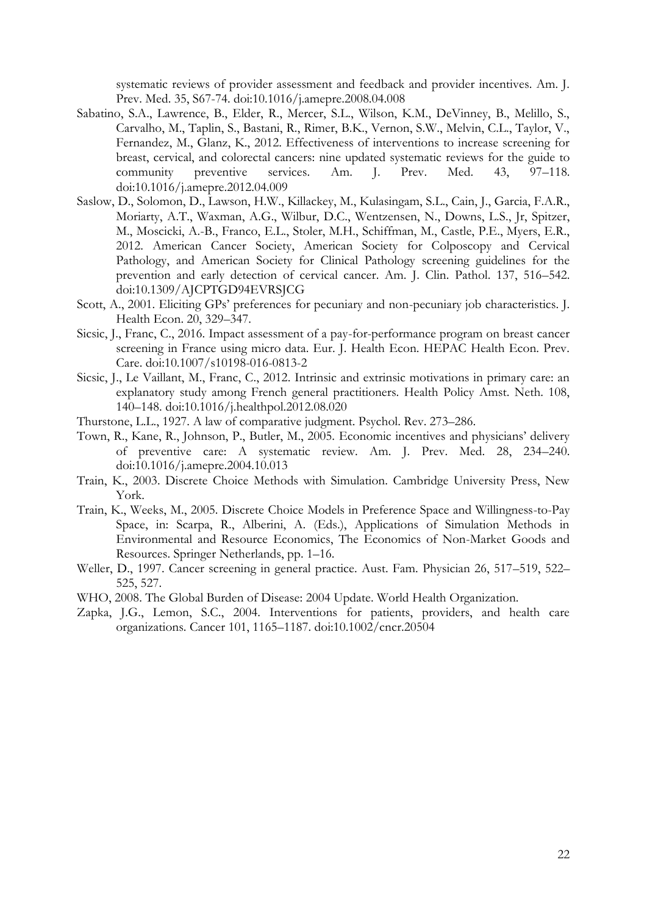systematic reviews of provider assessment and feedback and provider incentives. Am. J. Prev. Med. 35, S67-74. doi:10.1016/j.amepre.2008.04.008

- Sabatino, S.A., Lawrence, B., Elder, R., Mercer, S.L., Wilson, K.M., DeVinney, B., Melillo, S., Carvalho, M., Taplin, S., Bastani, R., Rimer, B.K., Vernon, S.W., Melvin, C.L., Taylor, V., Fernandez, M., Glanz, K., 2012. Effectiveness of interventions to increase screening for breast, cervical, and colorectal cancers: nine updated systematic reviews for the guide to community preventive services. Am. J. Prev. Med. 43, 97–118. doi:10.1016/j.amepre.2012.04.009
- Saslow, D., Solomon, D., Lawson, H.W., Killackey, M., Kulasingam, S.L., Cain, J., Garcia, F.A.R., Moriarty, A.T., Waxman, A.G., Wilbur, D.C., Wentzensen, N., Downs, L.S., Jr, Spitzer, M., Moscicki, A.-B., Franco, E.L., Stoler, M.H., Schiffman, M., Castle, P.E., Myers, E.R., 2012. American Cancer Society, American Society for Colposcopy and Cervical Pathology, and American Society for Clinical Pathology screening guidelines for the prevention and early detection of cervical cancer. Am. J. Clin. Pathol. 137, 516–542. doi:10.1309/AJCPTGD94EVRSJCG
- Scott, A., 2001. Eliciting GPs' preferences for pecuniary and non-pecuniary job characteristics. J. Health Econ. 20, 329–347.
- Sicsic, J., Franc, C., 2016. Impact assessment of a pay-for-performance program on breast cancer screening in France using micro data. Eur. J. Health Econ. HEPAC Health Econ. Prev. Care. doi:10.1007/s10198-016-0813-2
- Sicsic, J., Le Vaillant, M., Franc, C., 2012. Intrinsic and extrinsic motivations in primary care: an explanatory study among French general practitioners. Health Policy Amst. Neth. 108, 140–148. doi:10.1016/j.healthpol.2012.08.020
- Thurstone, L.L., 1927. A law of comparative judgment. Psychol. Rev. 273–286.
- Town, R., Kane, R., Johnson, P., Butler, M., 2005. Economic incentives and physicians' delivery of preventive care: A systematic review. Am. J. Prev. Med. 28, 234–240. doi:10.1016/j.amepre.2004.10.013
- Train, K., 2003. Discrete Choice Methods with Simulation. Cambridge University Press, New York.
- Train, K., Weeks, M., 2005. Discrete Choice Models in Preference Space and Willingness-to-Pay Space, in: Scarpa, R., Alberini, A. (Eds.), Applications of Simulation Methods in Environmental and Resource Economics, The Economics of Non-Market Goods and Resources. Springer Netherlands, pp. 1–16.
- Weller, D., 1997. Cancer screening in general practice. Aust. Fam. Physician 26, 517–519, 522– 525, 527.
- WHO, 2008. The Global Burden of Disease: 2004 Update. World Health Organization.
- Zapka, J.G., Lemon, S.C., 2004. Interventions for patients, providers, and health care organizations. Cancer 101, 1165–1187. doi:10.1002/cncr.20504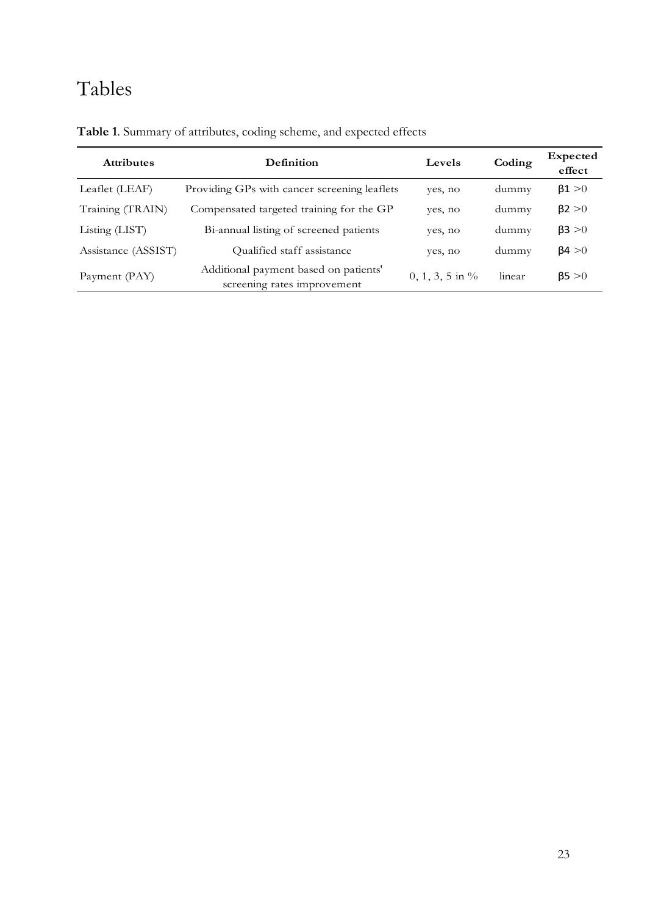# Tables

| <b>Attributes</b>   | Definition                                                           | Levels               | Coding | Expected<br>effect |
|---------------------|----------------------------------------------------------------------|----------------------|--------|--------------------|
| Leaflet (LEAF)      | Providing GPs with cancer screening leaflets                         | yes, no              | dummy  | $\beta$ 1 > 0      |
| Training (TRAIN)    | Compensated targeted training for the GP                             | yes, no              | dummy  | $\beta$ 2 > 0      |
| Listing (LIST)      | Bi-annual listing of screened patients                               | yes, no              | dummy  | $\beta$ 3 > 0      |
| Assistance (ASSIST) | Qualified staff assistance                                           | yes, no              | dummy  | $\beta$ 4 > 0      |
| Payment (PAY)       | Additional payment based on patients'<br>screening rates improvement | $0, 1, 3, 5$ in $\%$ | linear | $\beta$ 5 > 0      |

**Table 1**. Summary of attributes, coding scheme, and expected effects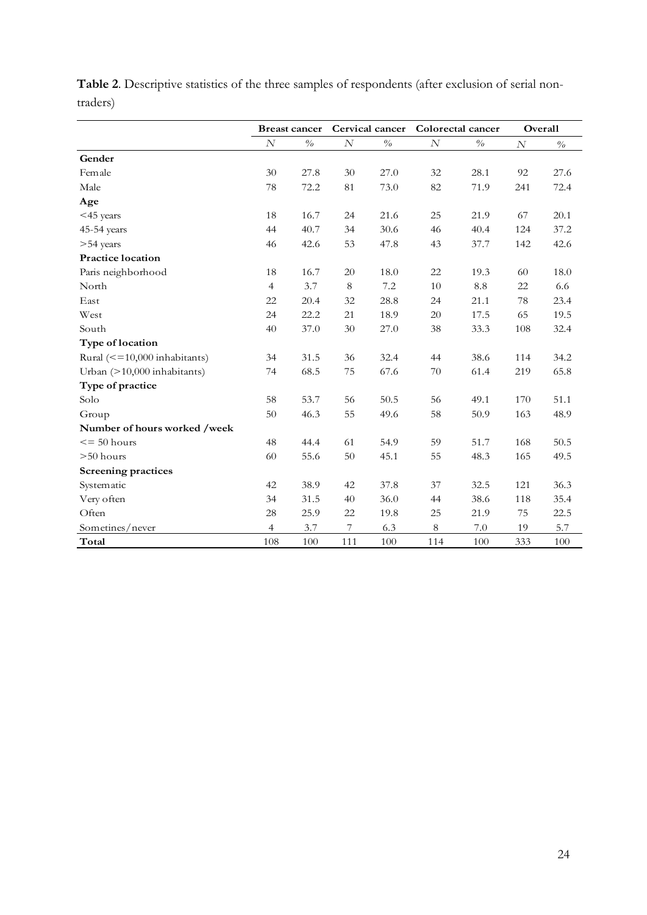|                              |                | <b>Breast cancer</b> |     | Cervical cancer |     | Colorectal cancer |                  | Overall |
|------------------------------|----------------|----------------------|-----|-----------------|-----|-------------------|------------------|---------|
|                              | N              | $\%$                 | N   | $\frac{o}{o}$   | N   | $\frac{o}{o}$     | $\boldsymbol{N}$ | $\%$    |
| Gender                       |                |                      |     |                 |     |                   |                  |         |
| Female                       | 30             | 27.8                 | 30  | 27.0            | 32  | 28.1              | 92               | 27.6    |
| Male                         | 78             | 72.2                 | 81  | 73.0            | 82  | 71.9              | 241              | 72.4    |
| Age                          |                |                      |     |                 |     |                   |                  |         |
| $<$ 45 years                 | 18             | 16.7                 | 24  | 21.6            | 25  | 21.9              | 67               | 20.1    |
| 45-54 years                  | 44             | 40.7                 | 34  | 30.6            | 46  | 40.4              | 124              | 37.2    |
| $>54$ years                  | 46             | 42.6                 | 53  | 47.8            | 43  | 37.7              | 142              | 42.6    |
| Practice location            |                |                      |     |                 |     |                   |                  |         |
| Paris neighborhood           | 18             | 16.7                 | 20  | 18.0            | 22  | 19.3              | 60               | 18.0    |
| North                        | $\overline{4}$ | 3.7                  | 8   | 7.2             | 10  | 8.8               | 22               | 6.6     |
| East                         | 22             | 20.4                 | 32  | 28.8            | 24  | 21.1              | 78               | 23.4    |
| West                         | 24             | 22.2                 | 21  | 18.9            | 20  | 17.5              | 65               | 19.5    |
| South                        | 40             | 37.0                 | 30  | 27.0            | 38  | 33.3              | 108              | 32.4    |
| Type of location             |                |                      |     |                 |     |                   |                  |         |
| Rural (<=10,000 inhabitants) | 34             | 31.5                 | 36  | 32.4            | 44  | 38.6              | 114              | 34.2    |
| Urban (>10,000 inhabitants)  | 74             | 68.5                 | 75  | 67.6            | 70  | 61.4              | 219              | 65.8    |
| Type of practice             |                |                      |     |                 |     |                   |                  |         |
| Solo                         | 58             | 53.7                 | 56  | 50.5            | 56  | 49.1              | 170              | 51.1    |
| Group                        | 50             | 46.3                 | 55  | 49.6            | 58  | 50.9              | 163              | 48.9    |
| Number of hours worked /week |                |                      |     |                 |     |                   |                  |         |
| $<= 50$ hours                | 48             | 44.4                 | 61  | 54.9            | 59  | 51.7              | 168              | 50.5    |
| $>50$ hours                  | 60             | 55.6                 | 50  | 45.1            | 55  | 48.3              | 165              | 49.5    |
| Screening practices          |                |                      |     |                 |     |                   |                  |         |
| Systematic                   | 42             | 38.9                 | 42  | 37.8            | 37  | 32.5              | 121              | 36.3    |
| Very often                   | 34             | 31.5                 | 40  | 36.0            | 44  | 38.6              | 118              | 35.4    |
| Often                        | 28             | 25.9                 | 22  | 19.8            | 25  | 21.9              | 75               | 22.5    |
| Sometines/never              | 4              | 3.7                  | 7   | 6.3             | 8   | 7.0               | 19               | 5.7     |
| Total                        | 108            | 100                  | 111 | 100             | 114 | 100               | 333              | 100     |

**Table 2**. Descriptive statistics of the three samples of respondents (after exclusion of serial nontraders)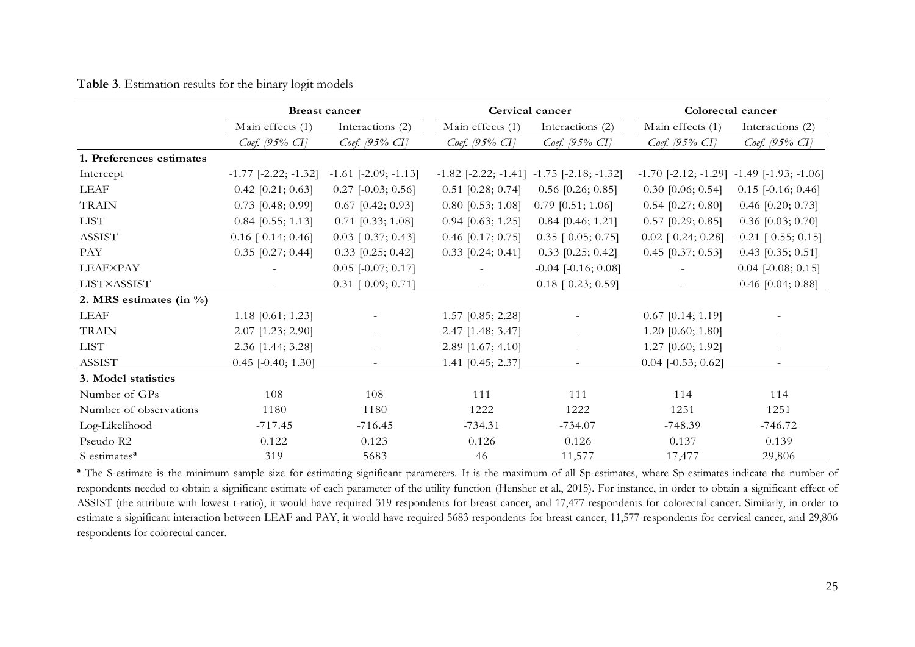**Table 3**. Estimation results for the binary logit models

|                             |                          | <b>Breast cancer</b>     |                               | Cervical cancer           | Colorectal cancer        |                          |  |
|-----------------------------|--------------------------|--------------------------|-------------------------------|---------------------------|--------------------------|--------------------------|--|
|                             | Main effects (1)         | Interactions (2)         | Main effects (1)              | Interactions (2)          | Main effects (1)         | Interactions (2)         |  |
|                             | Coef. [95% CI]           | Coef. [95% CI]           | Coef. [95% CI]                | Coef. [95% CI]            | Coef. [95% CI]           | Coef. [95% CI]           |  |
| 1. Preferences estimates    |                          |                          |                               |                           |                          |                          |  |
| Intercept                   | $-1.77$ $[-2.22; -1.32]$ | $-1.61$ $[-2.09; -1.13]$ | $-1.82$ [ $-2.22$ ; $-1.41$ ] | $-1.75$ $[-2.18; -1.32]$  | $-1.70$ $[-2.12; -1.29]$ | $-1.49$ $[-1.93; -1.06]$ |  |
| LEAF                        | $0.42$ [0.21; 0.63]      | $0.27$ [-0.03; 0.56]     | $0.51$ [0.28; 0.74]           | $0.56$ [0.26; 0.85]       | $0.30$ [0.06; 0.54]      | $0.15$ [-0.16; 0.46]     |  |
| <b>TRAIN</b>                | $0.73$ [0.48; 0.99]      | $0.67$ [0.42; 0.93]      | $0.80$ [0.53; 1.08]           | $0.79$ [0.51; 1.06]       | $0.54$ [0.27; 0.80]      | $0.46$ [0.20; 0.73]      |  |
| <b>LIST</b>                 | $0.84$ [0.55; 1.13]      | $0.71$ [0.33; 1.08]      | $0.94$ [0.63; 1.25]           | $0.84$ [0.46; 1.21]       | $0.57$ [0.29; 0.85]      | $0.36$ [0.03; 0.70]      |  |
| <b>ASSIST</b>               | $0.16$ [-0.14; 0.46]     | $0.03$ [-0.37; 0.43]     | $0.46$ [0.17; 0.75]           | $0.35$ [-0.05; 0.75]      | $0.02$ [-0.24; 0.28]     | $-0.21$ $[-0.55; 0.15]$  |  |
| PAY                         | $0.35$ [0.27; 0.44]      | $0.33$ [0.25; 0.42]      | $0.33$ [0.24; 0.41]           | $0.33$ [0.25; 0.42]       | $0.45$ [0.37; 0.53]      | $0.43$ [0.35; 0.51]      |  |
| <b>LEAF×PAY</b>             |                          | $0.05$ [-0.07; 0.17]     |                               | $-0.04$ [ $-0.16$ ; 0.08] |                          | $0.04$ [-0.08; 0.15]     |  |
| <b>LIST×ASSIST</b>          |                          | $0.31$ [-0.09; 0.71]     |                               | $0.18$ [-0.23; 0.59]      |                          | $0.46$ [0.04; 0.88]      |  |
| 2. MRS estimates (in $\%$ ) |                          |                          |                               |                           |                          |                          |  |
| <b>LEAF</b>                 | $1.18$ [0.61; 1.23]      |                          | 1.57 [0.85; 2.28]             |                           | $0.67$ [0.14; 1.19]      |                          |  |
| <b>TRAIN</b>                | 2.07 [1.23; 2.90]        |                          | 2.47 [1.48; 3.47]             |                           | 1.20 $[0.60; 1.80]$      |                          |  |
| <b>LIST</b>                 | 2.36 [1.44; 3.28]        |                          | 2.89 [1.67; 4.10]             |                           | 1.27 [0.60; 1.92]        |                          |  |
| <b>ASSIST</b>               | $0.45$ [-0.40; 1.30]     |                          | 1.41 [0.45; 2.37]             |                           | $0.04$ [-0.53; 0.62]     |                          |  |
| 3. Model statistics         |                          |                          |                               |                           |                          |                          |  |
| Number of GPs               | 108                      | 108                      | 111                           | 111                       | 114                      | 114                      |  |
| Number of observations      | 1180                     | 1180                     | 1222                          | 1222                      | 1251                     | 1251                     |  |
| Log-Likelihood              | $-717.45$                | $-716.45$                | $-734.31$                     | $-734.07$                 | $-748.39$                | $-746.72$                |  |
| Pseudo R2                   | 0.122                    | 0.123                    | 0.126                         | 0.126                     | 0.137                    | 0.139                    |  |
| S-estimates <sup>a</sup>    | 319                      | 5683                     | 46                            | 11,577                    | 17,477                   | 29,806                   |  |

respondents needed to obtain a significant estimate of each parameter of the utility function (Hensher et al., 2015). For instance, in order to obtain a significant effect of ASSIST (the attribute with lowest t-ratio), it would have required 319 respondents for breast cancer, and 17,477 respondents for colorectal cancer. Similarly, in order to estimate a significant interaction between LEAF and PAY, it would have required 5683 respondents for breast cancer, 11,577 respondents for cervical cancer, and 29,806 respondents for colorectal cancer.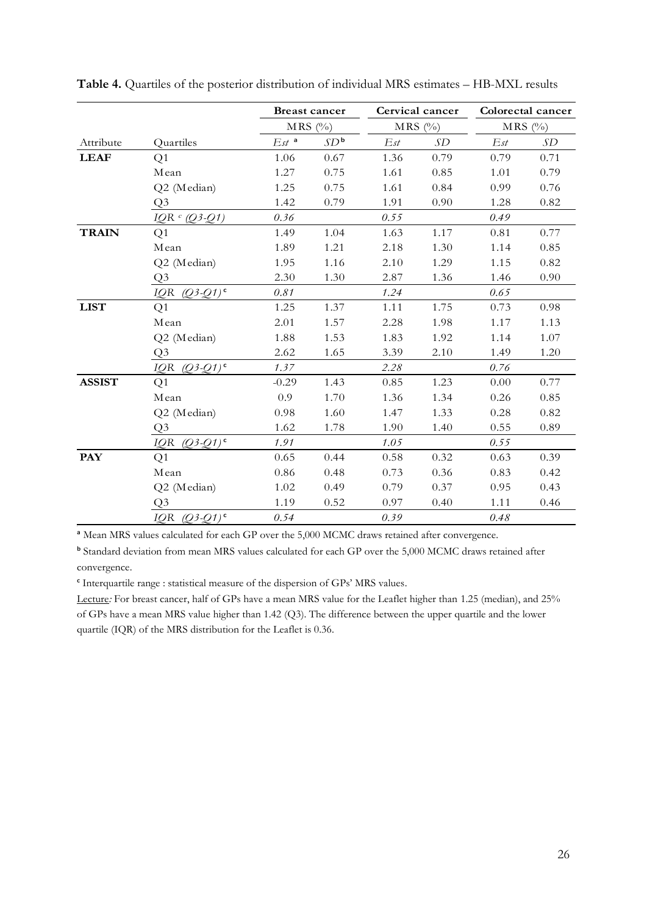|               |                            |                    | <b>Breast cancer</b> |      | Cervical cancer |      | Colorectal cancer |
|---------------|----------------------------|--------------------|----------------------|------|-----------------|------|-------------------|
|               |                            |                    | $MRS$ (%)            |      | $MRS$ (%)       |      | $MRS$ (%)         |
| Attribute     | Quartiles                  | $Est$ <sup>a</sup> | $SD^{\mathsf{b}}$    | Est  | SD              | Est  | SD                |
| <b>LEAF</b>   | Q1                         | 1.06               | 0.67                 | 1.36 | 0.79            | 0.79 | 0.71              |
|               | Mean                       | 1.27               | 0.75                 | 1.61 | 0.85            | 1.01 | 0.79              |
|               | Q2 (Median)                | 1.25               | 0.75                 | 1.61 | 0.84            | 0.99 | 0.76              |
|               | Q <sub>3</sub>             | 1.42               | 0.79                 | 1.91 | 0.90            | 1.28 | 0.82              |
|               | $IQR \circ (Q3-Q1)$        | 0.36               |                      | 0.55 |                 | 0.49 |                   |
| <b>TRAIN</b>  | Q1                         | 1.49               | 1.04                 | 1.63 | 1.17            | 0.81 | 0.77              |
|               | Mean                       | 1.89               | 1.21                 | 2.18 | 1.30            | 1.14 | 0.85              |
|               | Q2 (Median)                | 1.95               | 1.16                 | 2.10 | 1.29            | 1.15 | 0.82              |
|               | Q <sub>3</sub>             | 2.30               | 1.30                 | 2.87 | 1.36            | 1.46 | 0.90              |
|               | IOR $(03-01)$ <sup>c</sup> | 0.81               |                      | 1.24 |                 | 0.65 |                   |
| <b>LIST</b>   | Q1                         | 1.25               | 1.37                 | 1.11 | 1.75            | 0.73 | 0.98              |
|               | Mean                       | 2.01               | 1.57                 | 2.28 | 1.98            | 1.17 | 1.13              |
|               | Q2 (Median)                | 1.88               | 1.53                 | 1.83 | 1.92            | 1.14 | 1.07              |
|               | Q3                         | 2.62               | 1.65                 | 3.39 | 2.10            | 1.49 | 1.20              |
|               | IQR $(Q3-Q1)$ <sup>c</sup> | 1.37               |                      | 2.28 |                 | 0.76 |                   |
| <b>ASSIST</b> | Q1                         | $-0.29$            | 1.43                 | 0.85 | 1.23            | 0.00 | 0.77              |
|               | Mean                       | 0.9                | 1.70                 | 1.36 | 1.34            | 0.26 | 0.85              |
|               | Q2 (Median)                | 0.98               | 1.60                 | 1.47 | 1.33            | 0.28 | 0.82              |
|               | Q <sub>3</sub>             | 1.62               | 1.78                 | 1.90 | 1.40            | 0.55 | 0.89              |
|               | IQR $(Q3-Q1)$ <sup>c</sup> | 1.91               |                      | 1.05 |                 | 0.55 |                   |
| <b>PAY</b>    | Q1                         | 0.65               | 0.44                 | 0.58 | 0.32            | 0.63 | 0.39              |
|               | $\operatorname{Mean}$      | 0.86               | 0.48                 | 0.73 | 0.36            | 0.83 | 0.42              |
|               | Q2 (Median)                | 1.02               | 0.49                 | 0.79 | 0.37            | 0.95 | 0.43              |
|               | Q3                         | 1.19               | 0.52                 | 0.97 | 0.40            | 1.11 | 0.46              |
|               | IQR $(Q3-Q1)$ <sup>c</sup> | 0.54               |                      | 0.39 |                 | 0.48 |                   |

**Table 4.** Quartiles of the posterior distribution of individual MRS estimates – HB-MXL results

<sup>a</sup> Mean MRS values calculated for each GP over the 5,000 MCMC draws retained after convergence.

ᵇ Standard deviation from mean MRS values calculated for each GP over the 5,000 MCMC draws retained after convergence.

ᶜ Interquartile range : statistical measure of the dispersion of GPs' MRS values.

Lecture: For breast cancer, half of GPs have a mean MRS value for the Leaflet higher than 1.25 (median), and 25% of GPs have a mean MRS value higher than 1.42 (Q3). The difference between the upper quartile and the lower quartile (IQR) of the MRS distribution for the Leaflet is 0.36.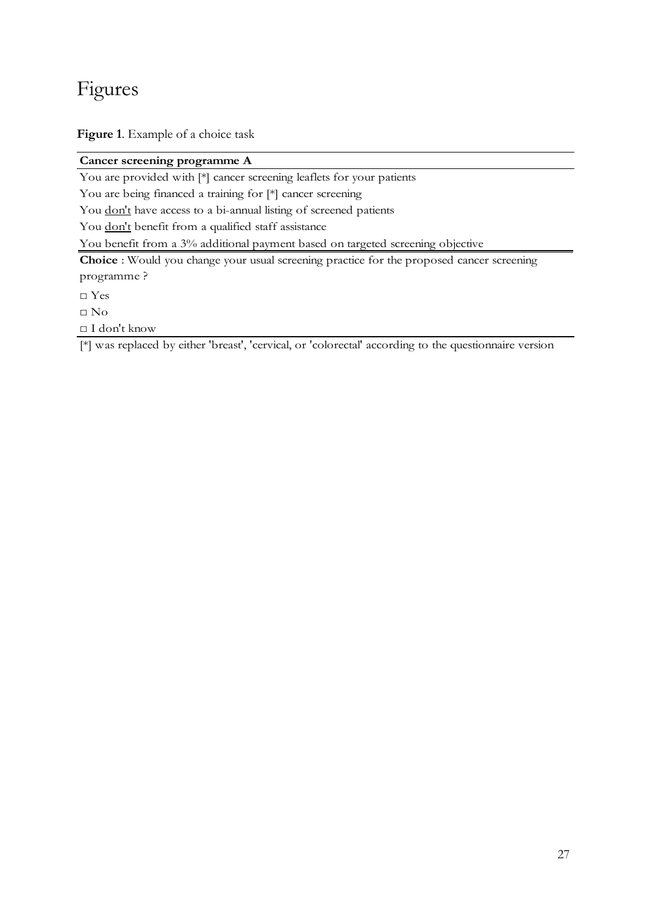## Figures

**Figure 1**. Example of a choice task

**Cancer screening programme A**

You are provided with  $[$ <sup>\*</sup> $]$  cancer screening leaflets for your patients

You are being financed a training for  $[$ <sup>\*</sup> $]$  cancer screening

You don't have access to a bi-annual listing of screened patients

You **don't** benefit from a qualified staff assistance

You benefit from a 3% additional payment based on targeted screening objective

**Choice** : Would you change your usual screening practice for the proposed cancer screening programme ?

□ Yes

□ No

□ I don't know

[\*] was replaced by either 'breast', 'cervical, or 'colorectal' according to the questionnaire version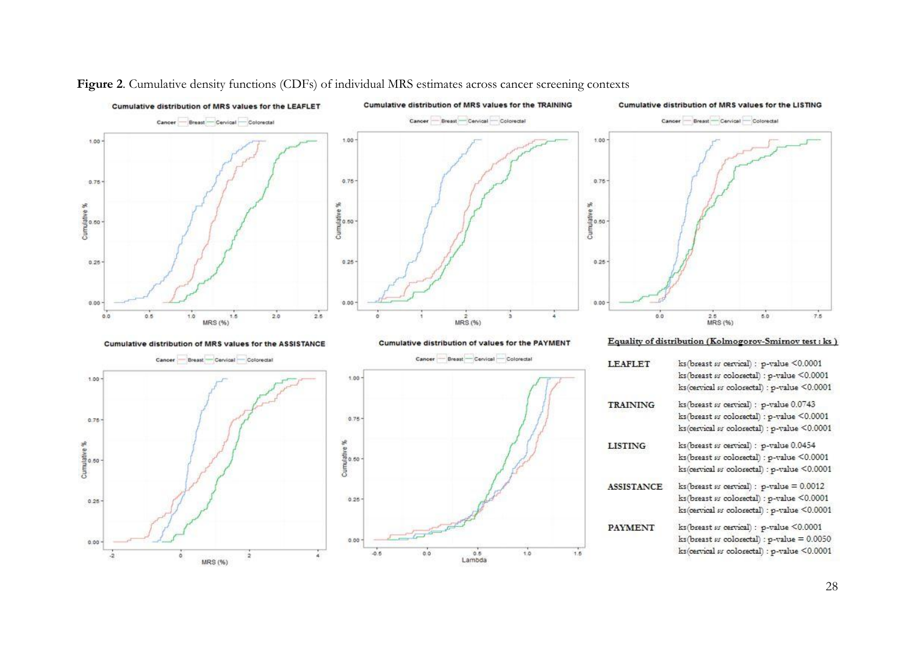

#### **Figure 2**. Cumulative density functions (CDFs) of individual MRS estimates across cancer screening contexts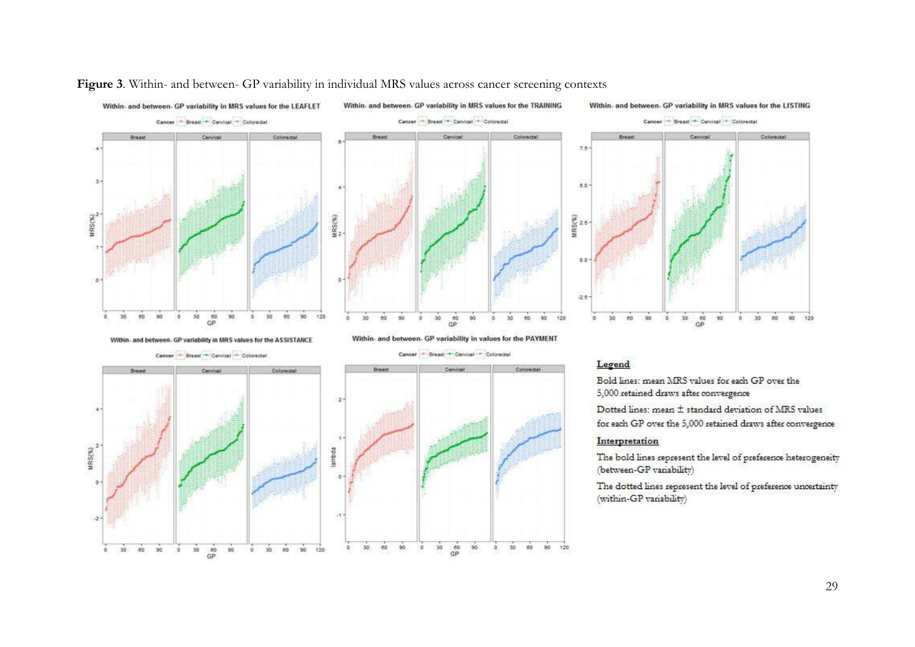

#### **Figure 3**. Within- and between- GP variability in individual MRS values across cancer screening contexts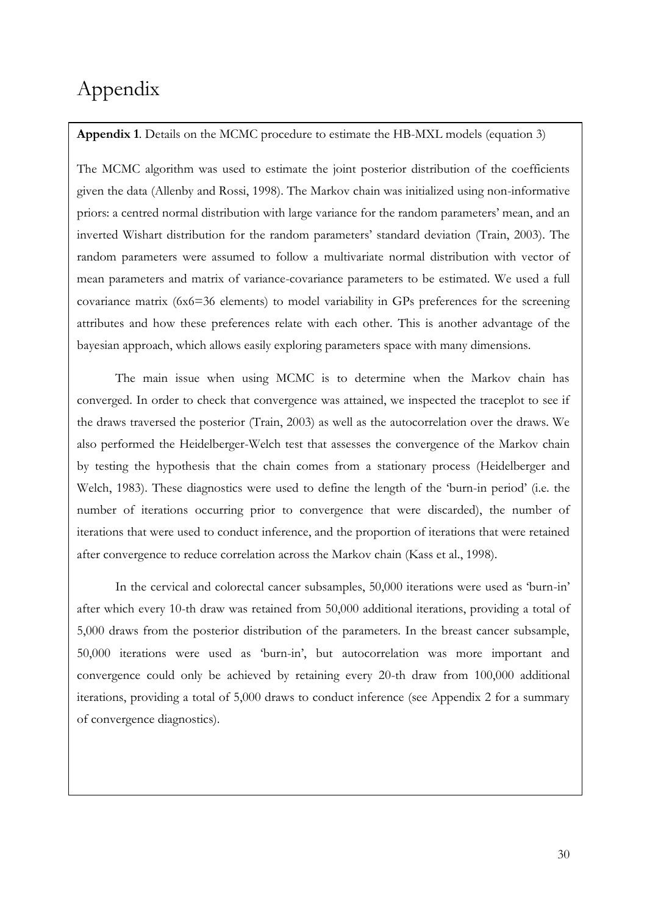## Appendix

**Appendix 1**. Details on the MCMC procedure to estimate the HB-MXL models (equation 3)

The MCMC algorithm was used to estimate the joint posterior distribution of the coefficients given the data (Allenby and Rossi, 1998). The Markov chain was initialized using non-informative priors: a centred normal distribution with large variance for the random parameters' mean, and an inverted Wishart distribution for the random parameters' standard deviation (Train, 2003). The random parameters were assumed to follow a multivariate normal distribution with vector of mean parameters and matrix of variance-covariance parameters to be estimated. We used a full covariance matrix (6x6=36 elements) to model variability in GPs preferences for the screening attributes and how these preferences relate with each other. This is another advantage of the bayesian approach, which allows easily exploring parameters space with many dimensions.

The main issue when using MCMC is to determine when the Markov chain has converged. In order to check that convergence was attained, we inspected the traceplot to see if the draws traversed the posterior (Train, 2003) as well as the autocorrelation over the draws. We also performed the Heidelberger-Welch test that assesses the convergence of the Markov chain by testing the hypothesis that the chain comes from a stationary process (Heidelberger and Welch, 1983). These diagnostics were used to define the length of the 'burn-in period' (i.e. the number of iterations occurring prior to convergence that were discarded), the number of iterations that were used to conduct inference, and the proportion of iterations that were retained after convergence to reduce correlation across the Markov chain (Kass et al., 1998).

In the cervical and colorectal cancer subsamples, 50,000 iterations were used as 'burn-in' after which every 10-th draw was retained from 50,000 additional iterations, providing a total of 5,000 draws from the posterior distribution of the parameters. In the breast cancer subsample, 50,000 iterations were used as 'burn-in', but autocorrelation was more important and convergence could only be achieved by retaining every 20-th draw from 100,000 additional iterations, providing a total of 5,000 draws to conduct inference (see Appendix 2 for a summary of convergence diagnostics).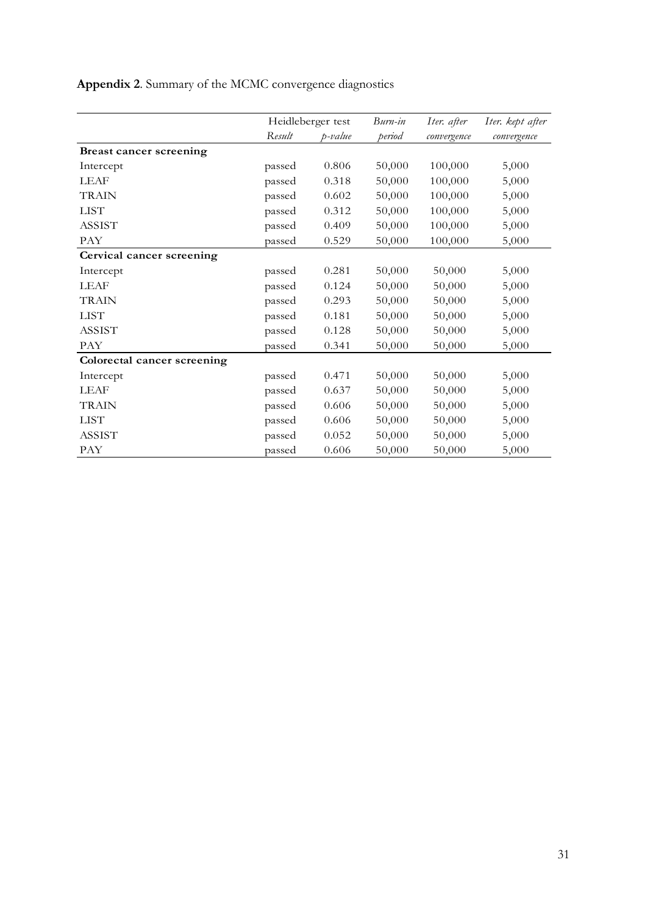|                             |        | Heidleberger test | Burn-in | Iter. after | Iter. kept after |
|-----------------------------|--------|-------------------|---------|-------------|------------------|
|                             | Result | p-value           | period  | convergence | convergence      |
| Breast cancer screening     |        |                   |         |             |                  |
| Intercept                   | passed | 0.806             | 50,000  | 100,000     | 5,000            |
| LEAF                        | passed | 0.318             | 50,000  | 100,000     | 5,000            |
| <b>TRAIN</b>                | passed | 0.602             | 50,000  | 100,000     | 5,000            |
| <b>LIST</b>                 | passed | 0.312             | 50,000  | 100,000     | 5,000            |
| <b>ASSIST</b>               | passed | 0.409             | 50,000  | 100,000     | 5,000            |
| PAY                         | passed | 0.529             | 50,000  | 100,000     | 5,000            |
| Cervical cancer screening   |        |                   |         |             |                  |
| Intercept                   | passed | 0.281             | 50,000  | 50,000      | 5,000            |
| <b>LEAF</b>                 | passed | 0.124             | 50,000  | 50,000      | 5,000            |
| TRAIN                       | passed | 0.293             | 50,000  | 50,000      | 5,000            |
| <b>LIST</b>                 | passed | 0.181             | 50,000  | 50,000      | 5,000            |
| <b>ASSIST</b>               | passed | 0.128             | 50,000  | 50,000      | 5,000            |
| PAY                         | passed | 0.341             | 50,000  | 50,000      | 5,000            |
| Colorectal cancer screening |        |                   |         |             |                  |
| Intercept                   | passed | 0.471             | 50,000  | 50,000      | 5,000            |
| <b>LEAF</b>                 | passed | 0.637             | 50,000  | 50,000      | 5,000            |
| TRAIN                       | passed | 0.606             | 50,000  | 50,000      | 5,000            |
| <b>LIST</b>                 | passed | 0.606             | 50,000  | 50,000      | 5,000            |
| <b>ASSIST</b>               | passed | 0.052             | 50,000  | 50,000      | 5,000            |
| PAY                         | passed | 0.606             | 50,000  | 50,000      | 5,000            |

## **Appendix 2**. Summary of the MCMC convergence diagnostics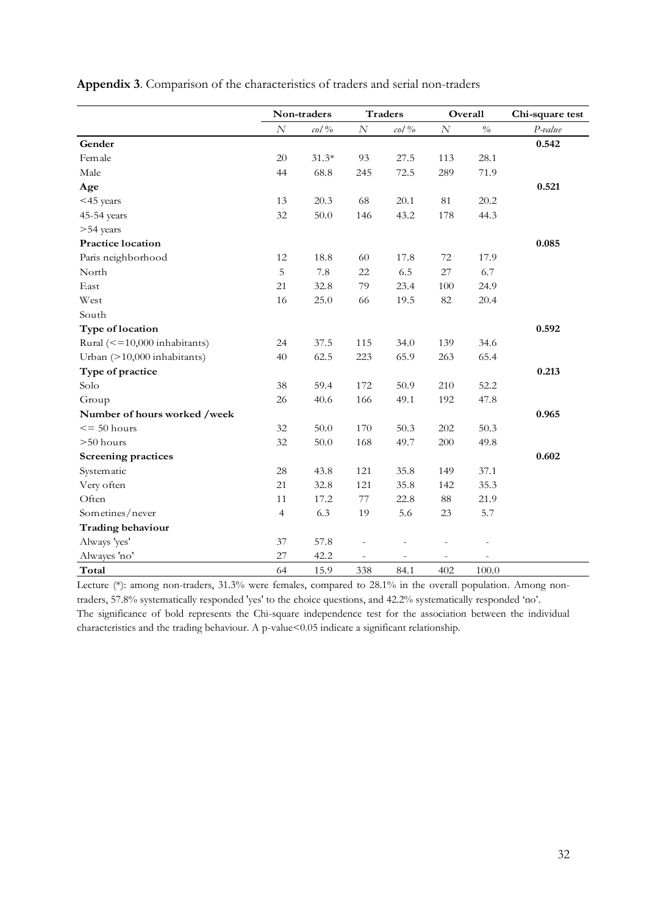|                              |                | Non-traders |                | <b>Traders</b> |                  | Overall | Chi-square test |
|------------------------------|----------------|-------------|----------------|----------------|------------------|---------|-----------------|
|                              | N              | col %       | $\overline{N}$ | col %          | $\boldsymbol{N}$ | $\%$    | $P-value$       |
| Gender                       |                |             |                |                |                  |         | 0.542           |
| Female                       | $20\,$         | $31.3*$     | 93             | 27.5           | 113              | 28.1    |                 |
| Male                         | 44             | 68.8        | 245            | 72.5           | 289              | 71.9    |                 |
| Age                          |                |             |                |                |                  |         | 0.521           |
| $<$ 45 years                 | 13             | 20.3        | 68             | 20.1           | 81               | 20.2    |                 |
| 45-54 years                  | 32             | 50.0        | 146            | 43.2           | 178              | 44.3    |                 |
| >54 years                    |                |             |                |                |                  |         |                 |
| Practice location            |                |             |                |                |                  |         | 0.085           |
| Paris neighborhood           | 12             | 18.8        | 60             | 17.8           | 72               | 17.9    |                 |
| North                        | 5              | 7.8         | 22             | 6.5            | 27               | 6.7     |                 |
| East                         | 21             | 32.8        | 79             | 23.4           | 100              | 24.9    |                 |
| West                         | 16             | 25.0        | 66             | 19.5           | 82               | 20.4    |                 |
| South                        |                |             |                |                |                  |         |                 |
| Type of location             |                |             |                |                |                  |         | 0.592           |
| Rural (<=10,000 inhabitants) | 24             | 37.5        | 115            | 34.0           | 139              | 34.6    |                 |
| Urban (>10,000 inhabitants)  | 40             | 62.5        | 223            | 65.9           | 263              | 65.4    |                 |
| Type of practice             |                |             |                |                |                  |         | 0.213           |
| Solo                         | 38             | 59.4        | 172            | 50.9           | 210              | 52.2    |                 |
| Group                        | 26             | 40.6        | 166            | 49.1           | 192              | 47.8    |                 |
| Number of hours worked /week |                |             |                |                |                  |         | 0.965           |
| $\epsilon$ = 50 hours        | 32             | 50.0        | 170            | 50.3           | 202              | 50.3    |                 |
| $>50$ hours                  | 32             | 50.0        | 168            | 49.7           | 200              | 49.8    |                 |
| <b>Screening practices</b>   |                |             |                |                |                  |         | 0.602           |
| Systematic                   | 28             | 43.8        | 121            | 35.8           | 149              | 37.1    |                 |
| Very often                   | 21             | 32.8        | 121            | 35.8           | 142              | 35.3    |                 |
| Often                        | 11             | 17.2        | 77             | 22.8           | 88               | 21.9    |                 |
| Sometines/never              | $\overline{4}$ | 6.3         | 19             | 5.6            | 23               | 5.7     |                 |
| Trading behaviour            |                |             |                |                |                  |         |                 |
| Always 'yes'                 | 37             | 57.8        |                |                |                  |         |                 |
| Alwayes 'no'                 | 27             | 42.2        |                |                |                  |         |                 |
| Total                        | 64             | 15.9        | 338            | 84.1           | 402              | 100.0   |                 |

**Appendix 3**. Comparison of the characteristics of traders and serial non-traders

Lecture (\*): among non-traders, 31.3% were females, compared to 28.1% in the overall population. Among nontraders, 57.8% systematically responded 'yes' to the choice questions, and 42.2% systematically responded 'no'. The significance of bold represents the Chi-square independence test for the association between the individual characteristics and the trading behaviour. A p-value<0.05 indicate a significant relationship.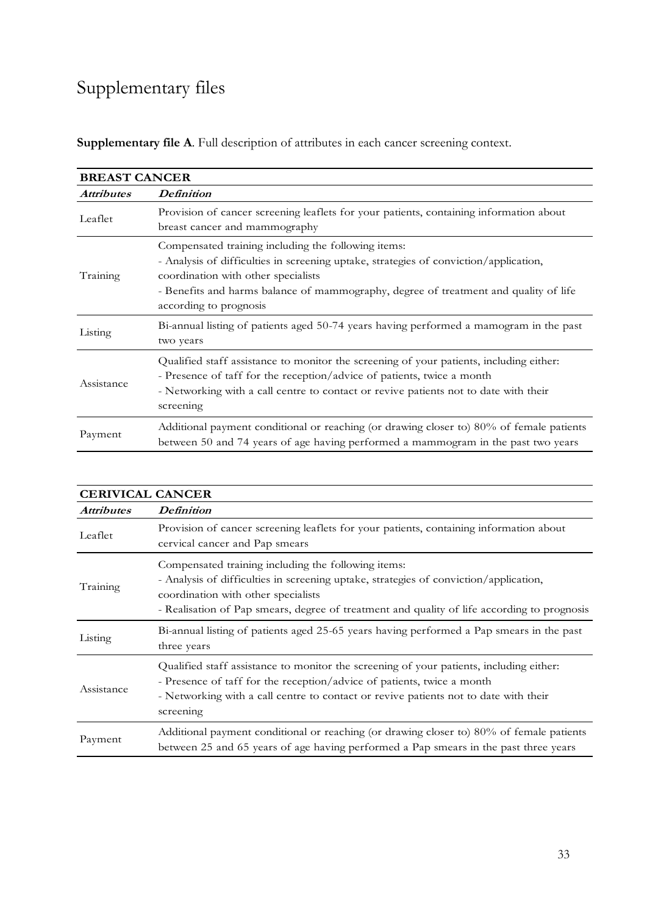# Supplementary files

|  |  |  | Supplementary file A. Full description of attributes in each cancer screening context. |
|--|--|--|----------------------------------------------------------------------------------------|
|  |  |  |                                                                                        |

| <b>BREAST CANCER</b> |                                                                                                                                                                                                                                                                                                       |
|----------------------|-------------------------------------------------------------------------------------------------------------------------------------------------------------------------------------------------------------------------------------------------------------------------------------------------------|
| <b>Attributes</b>    | <b>Definition</b>                                                                                                                                                                                                                                                                                     |
| Leaflet              | Provision of cancer screening leaflets for your patients, containing information about<br>breast cancer and mammography                                                                                                                                                                               |
| Training             | Compensated training including the following items:<br>- Analysis of difficulties in screening uptake, strategies of conviction/application,<br>coordination with other specialists<br>- Benefits and harms balance of mammography, degree of treatment and quality of life<br>according to prognosis |
| Listing              | Bi-annual listing of patients aged 50-74 years having performed a mamogram in the past<br>two years                                                                                                                                                                                                   |
| Assistance           | Qualified staff assistance to monitor the screening of your patients, including either:<br>- Presence of taff for the reception/advice of patients, twice a month<br>- Networking with a call centre to contact or revive patients not to date with their<br>screening                                |
| Payment              | Additional payment conditional or reaching (or drawing closer to) 80% of female patients<br>between 50 and 74 years of age having performed a mammogram in the past two years                                                                                                                         |

| <b>CERIVICAL CANCER</b> |                                                                                                                                                                                                                                                                                    |
|-------------------------|------------------------------------------------------------------------------------------------------------------------------------------------------------------------------------------------------------------------------------------------------------------------------------|
| <b>Attributes</b>       | <b>Definition</b>                                                                                                                                                                                                                                                                  |
| Leaflet                 | Provision of cancer screening leaflets for your patients, containing information about<br>cervical cancer and Pap smears                                                                                                                                                           |
| Training                | Compensated training including the following items:<br>- Analysis of difficulties in screening uptake, strategies of conviction/application,<br>coordination with other specialists<br>- Realisation of Pap smears, degree of treatment and quality of life according to prognosis |
| Listing                 | Bi-annual listing of patients aged 25-65 years having performed a Pap smears in the past<br>three years                                                                                                                                                                            |
| Assistance              | Qualified staff assistance to monitor the screening of your patients, including either:<br>- Presence of taff for the reception/advice of patients, twice a month<br>- Networking with a call centre to contact or revive patients not to date with their<br>screening             |
| Payment                 | Additional payment conditional or reaching (or drawing closer to) 80% of female patients<br>between 25 and 65 years of age having performed a Pap smears in the past three years                                                                                                   |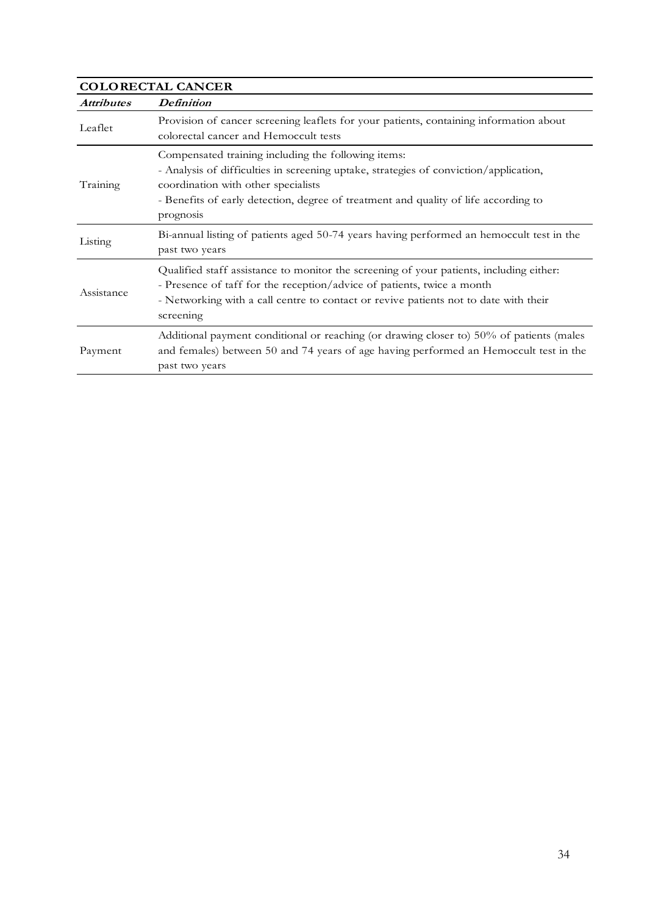|                   | <b>COLORECTAL CANCER</b>                                                                                                                                                                                                                                                                |
|-------------------|-----------------------------------------------------------------------------------------------------------------------------------------------------------------------------------------------------------------------------------------------------------------------------------------|
| <b>Attributes</b> | <b>Definition</b>                                                                                                                                                                                                                                                                       |
| Leaflet           | Provision of cancer screening leaflets for your patients, containing information about<br>colorectal cancer and Hemoccult tests                                                                                                                                                         |
| Training          | Compensated training including the following items:<br>- Analysis of difficulties in screening uptake, strategies of conviction/application,<br>coordination with other specialists<br>- Benefits of early detection, degree of treatment and quality of life according to<br>prognosis |
| Listing           | Bi-annual listing of patients aged 50-74 years having performed an hemoccult test in the<br>past two years                                                                                                                                                                              |
| Assistance        | Qualified staff assistance to monitor the screening of your patients, including either:<br>- Presence of taff for the reception/advice of patients, twice a month<br>- Networking with a call centre to contact or revive patients not to date with their<br>screening                  |
| Payment           | Additional payment conditional or reaching (or drawing closer to) 50% of patients (males<br>and females) between 50 and 74 years of age having performed an Hemoccult test in the<br>past two years                                                                                     |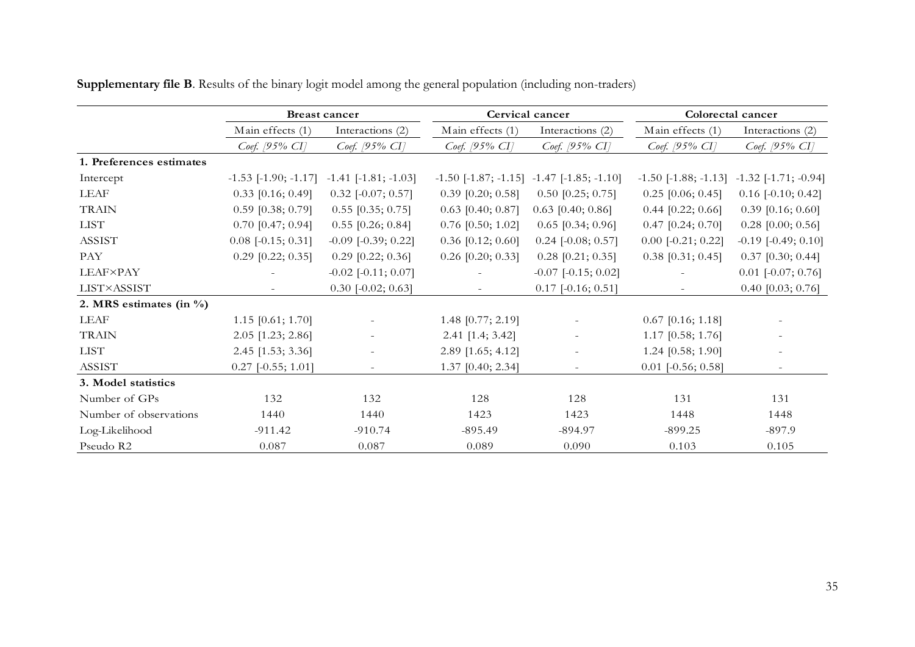| Supplementary file B. Results of the binary logit model among the general population (including non-traders) |  |  |  |
|--------------------------------------------------------------------------------------------------------------|--|--|--|
|                                                                                                              |  |  |  |

|                             | <b>Breast cancer</b>     |                           |                     | Cervical cancer                                   | Colorectal cancer        |                               |  |
|-----------------------------|--------------------------|---------------------------|---------------------|---------------------------------------------------|--------------------------|-------------------------------|--|
|                             | Main effects (1)         | Interactions (2)          | Main effects (1)    | Interactions (2)                                  | Main effects $(1)$       | Interactions (2)              |  |
|                             | Coef. [95% CI]           | Coef. [95% CI]            | Coef. [95% CI]      | Coef. [95% CI]                                    | Coef. [ $95\%$ CI]       | Coef. [95% CI]                |  |
| 1. Preferences estimates    |                          |                           |                     |                                                   |                          |                               |  |
| Intercept                   | $-1.53$ $[-1.90; -1.17]$ | $-1.41$ $[-1.81; -1.03]$  |                     | $-1.50$ $[-1.87; -1.15]$ $-1.47$ $[-1.85; -1.10]$ | $-1.50$ $[-1.88; -1.13]$ | $-1.32$ [ $-1.71$ ; $-0.94$ ] |  |
| LEAF                        | $0.33$ [0.16; 0.49]      | $0.32$ [-0.07; 0.57]      | $0.39$ [0.20; 0.58] | $0.50$ [0.25; 0.75]                               | $0.25$ [0.06; 0.45]      | $0.16$ [-0.10; 0.42]          |  |
| <b>TRAIN</b>                | $0.59$ [0.38; 0.79]      | $0.55$ [0.35; 0.75]       | $0.63$ [0.40; 0.87] | $0.63$ [0.40; 0.86]                               | $0.44$ [0.22; 0.66]      | $0.39$ [0.16; 0.60]           |  |
| <b>LIST</b>                 | $0.70$ [0.47; 0.94]      | $0.55$ [0.26; 0.84]       | $0.76$ [0.50; 1.02] | $0.65$ [0.34; 0.96]                               | $0.47$ [0.24; 0.70]      | $0.28$ [0.00; 0.56]           |  |
| <b>ASSIST</b>               | $0.08$ [-0.15; 0.31]     | $-0.09$ $[-0.39; 0.22]$   | $0.36$ [0.12; 0.60] | $0.24$ [-0.08; 0.57]                              | $0.00$ [-0.21; 0.22]     | $-0.19$ [ $-0.49$ ; $0.10$ ]  |  |
| PAY                         | $0.29$ [0.22; 0.35]      | $0.29$ [0.22; 0.36]       | $0.26$ [0.20; 0.33] | $0.28$ [0.21; 0.35]                               | $0.38$ [0.31; 0.45]      | $0.37$ [0.30; 0.44]           |  |
| <b>LEAF×PAY</b>             |                          | $-0.02$ [ $-0.11; 0.07$ ] |                     | $-0.07$ [ $-0.15; 0.02$ ]                         |                          | $0.01$ [-0.07; 0.76]          |  |
| LIST×ASSIST                 |                          | $0.30$ [-0.02; 0.63]      |                     | $0.17$ [-0.16; 0.51]                              |                          | $0.40$ [0.03; 0.76]           |  |
| 2. MRS estimates (in $\%$ ) |                          |                           |                     |                                                   |                          |                               |  |
| LEAF                        | 1.15 $[0.61; 1.70]$      |                           | 1.48 [0.77; 2.19]   |                                                   | $0.67$ [0.16; 1.18]      |                               |  |
| <b>TRAIN</b>                | 2.05 [1.23; 2.86]        |                           | 2.41 [1.4; 3.42]    |                                                   | 1.17 [0.58; 1.76]        |                               |  |
| <b>LIST</b>                 | 2.45 [1.53; 3.36]        |                           | 2.89 [1.65; 4.12]   |                                                   | 1.24 [0.58; 1.90]        |                               |  |
| <b>ASSIST</b>               | $0.27$ [-0.55; 1.01]     | $\equiv$                  | 1.37 [0.40; 2.34]   | $\overline{\phantom{a}}$                          | $0.01$ [-0.56; 0.58]     |                               |  |
| 3. Model statistics         |                          |                           |                     |                                                   |                          |                               |  |
| Number of GPs               | 132                      | 132                       | 128                 | 128                                               | 131                      | 131                           |  |
| Number of observations      | 1440                     | 1440                      | 1423                | 1423                                              | 1448                     | 1448                          |  |
| Log-Likelihood              | $-911.42$                | $-910.74$                 | $-895.49$           | $-894.97$                                         | $-899.25$                | $-897.9$                      |  |
| Pseudo R2                   | 0.087                    | 0.087                     | 0.089               | 0.090                                             | 0.103                    | 0.105                         |  |